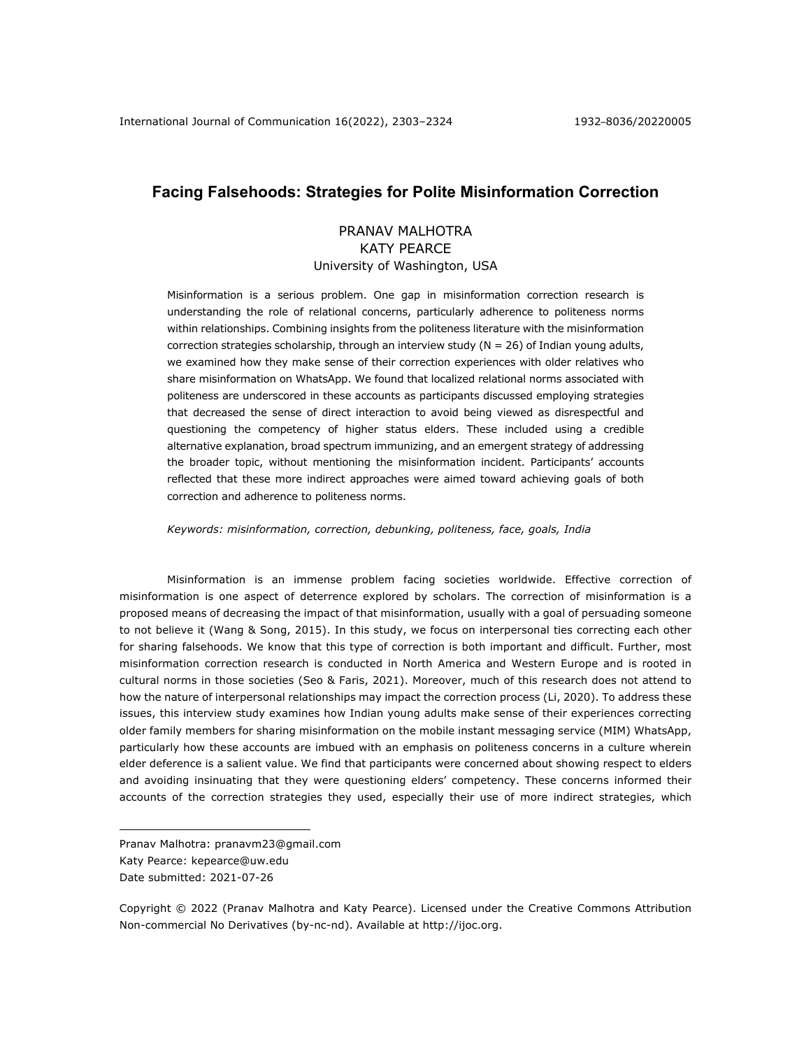# **Facing Falsehoods: Strategies for Polite Misinformation Correction**

# PRANAV MALHOTRA KATY PEARCE University of Washington, USA

Misinformation is a serious problem. One gap in misinformation correction research is understanding the role of relational concerns, particularly adherence to politeness norms within relationships. Combining insights from the politeness literature with the misinformation correction strategies scholarship, through an interview study ( $N = 26$ ) of Indian young adults, we examined how they make sense of their correction experiences with older relatives who share misinformation on WhatsApp. We found that localized relational norms associated with politeness are underscored in these accounts as participants discussed employing strategies that decreased the sense of direct interaction to avoid being viewed as disrespectful and questioning the competency of higher status elders. These included using a credible alternative explanation, broad spectrum immunizing, and an emergent strategy of addressing the broader topic, without mentioning the misinformation incident. Participants' accounts reflected that these more indirect approaches were aimed toward achieving goals of both correction and adherence to politeness norms.

*Keywords: misinformation, correction, debunking, politeness, face, goals, India*

Misinformation is an immense problem facing societies worldwide. Effective correction of misinformation is one aspect of deterrence explored by scholars. The correction of misinformation is a proposed means of decreasing the impact of that misinformation, usually with a goal of persuading someone to not believe it (Wang & Song, 2015). In this study, we focus on interpersonal ties correcting each other for sharing falsehoods. We know that this type of correction is both important and difficult. Further, most misinformation correction research is conducted in North America and Western Europe and is rooted in cultural norms in those societies (Seo & Faris, 2021). Moreover, much of this research does not attend to how the nature of interpersonal relationships may impact the correction process (Li, 2020). To address these issues, this interview study examines how Indian young adults make sense of their experiences correcting older family members for sharing misinformation on the mobile instant messaging service (MIM) WhatsApp, particularly how these accounts are imbued with an emphasis on politeness concerns in a culture wherein elder deference is a salient value. We find that participants were concerned about showing respect to elders and avoiding insinuating that they were questioning elders' competency. These concerns informed their accounts of the correction strategies they used, especially their use of more indirect strategies, which

Pranav Malhotra: pranavm23@gmail.com Katy Pearce: kepearce@uw.edu Date submitted: 2021-07-26

Copyright © 2022 (Pranav Malhotra and Katy Pearce). Licensed under the Creative Commons Attribution Non-commercial No Derivatives (by-nc-nd). Available at http://ijoc.org.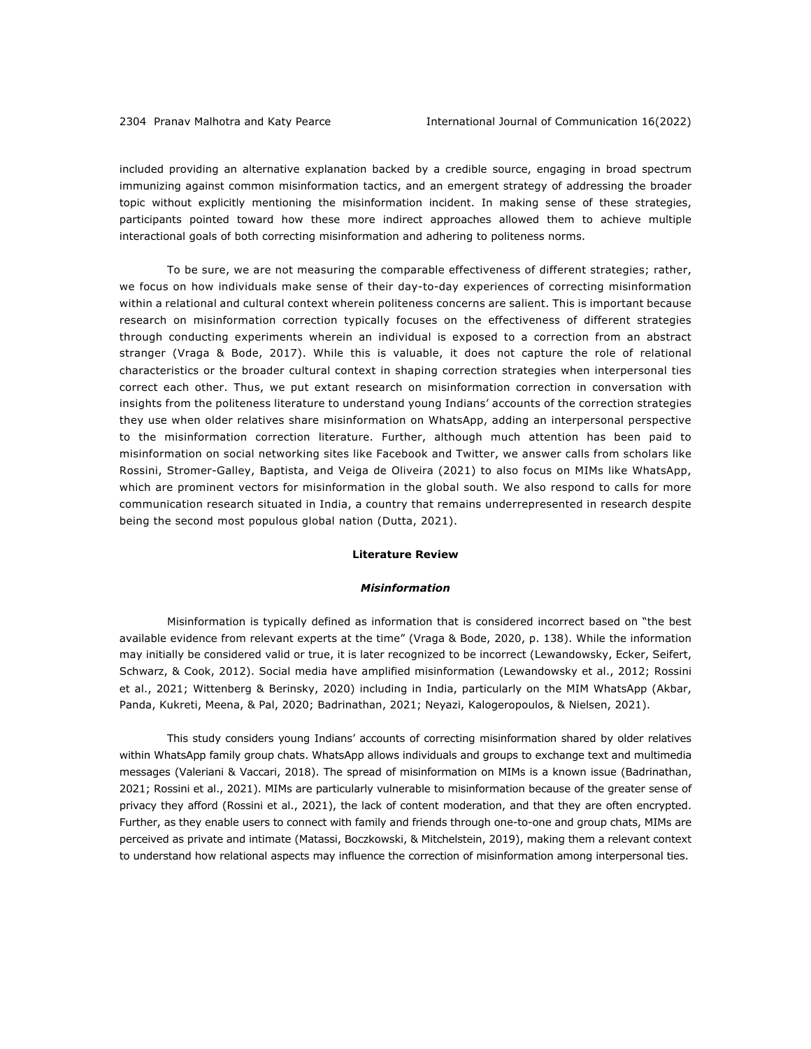included providing an alternative explanation backed by a credible source, engaging in broad spectrum immunizing against common misinformation tactics, and an emergent strategy of addressing the broader topic without explicitly mentioning the misinformation incident. In making sense of these strategies, participants pointed toward how these more indirect approaches allowed them to achieve multiple interactional goals of both correcting misinformation and adhering to politeness norms.

To be sure, we are not measuring the comparable effectiveness of different strategies; rather, we focus on how individuals make sense of their day-to-day experiences of correcting misinformation within a relational and cultural context wherein politeness concerns are salient. This is important because research on misinformation correction typically focuses on the effectiveness of different strategies through conducting experiments wherein an individual is exposed to a correction from an abstract stranger (Vraga & Bode, 2017). While this is valuable, it does not capture the role of relational characteristics or the broader cultural context in shaping correction strategies when interpersonal ties correct each other. Thus, we put extant research on misinformation correction in conversation with insights from the politeness literature to understand young Indians' accounts of the correction strategies they use when older relatives share misinformation on WhatsApp, adding an interpersonal perspective to the misinformation correction literature. Further, although much attention has been paid to misinformation on social networking sites like Facebook and Twitter, we answer calls from scholars like Rossini, Stromer-Galley, Baptista, and Veiga de Oliveira (2021) to also focus on MIMs like WhatsApp, which are prominent vectors for misinformation in the global south. We also respond to calls for more communication research situated in India, a country that remains underrepresented in research despite being the second most populous global nation (Dutta, 2021).

### **Literature Review**

## *Misinformation*

Misinformation is typically defined as information that is considered incorrect based on "the best available evidence from relevant experts at the time" (Vraga & Bode, 2020, p. 138). While the information may initially be considered valid or true, it is later recognized to be incorrect (Lewandowsky, Ecker, Seifert, Schwarz, & Cook, 2012). Social media have amplified misinformation (Lewandowsky et al., 2012; Rossini et al., 2021; Wittenberg & Berinsky, 2020) including in India, particularly on the MIM WhatsApp (Akbar, Panda, Kukreti, Meena, & Pal, 2020; Badrinathan, 2021; Neyazi, Kalogeropoulos, & Nielsen, 2021).

This study considers young Indians' accounts of correcting misinformation shared by older relatives within WhatsApp family group chats. WhatsApp allows individuals and groups to exchange text and multimedia messages (Valeriani & Vaccari, 2018). The spread of misinformation on MIMs is a known issue (Badrinathan, 2021; Rossini et al., 2021). MIMs are particularly vulnerable to misinformation because of the greater sense of privacy they afford (Rossini et al., 2021), the lack of content moderation, and that they are often encrypted. Further, as they enable users to connect with family and friends through one-to-one and group chats, MIMs are perceived as private and intimate (Matassi, Boczkowski, & Mitchelstein, 2019), making them a relevant context to understand how relational aspects may influence the correction of misinformation among interpersonal ties.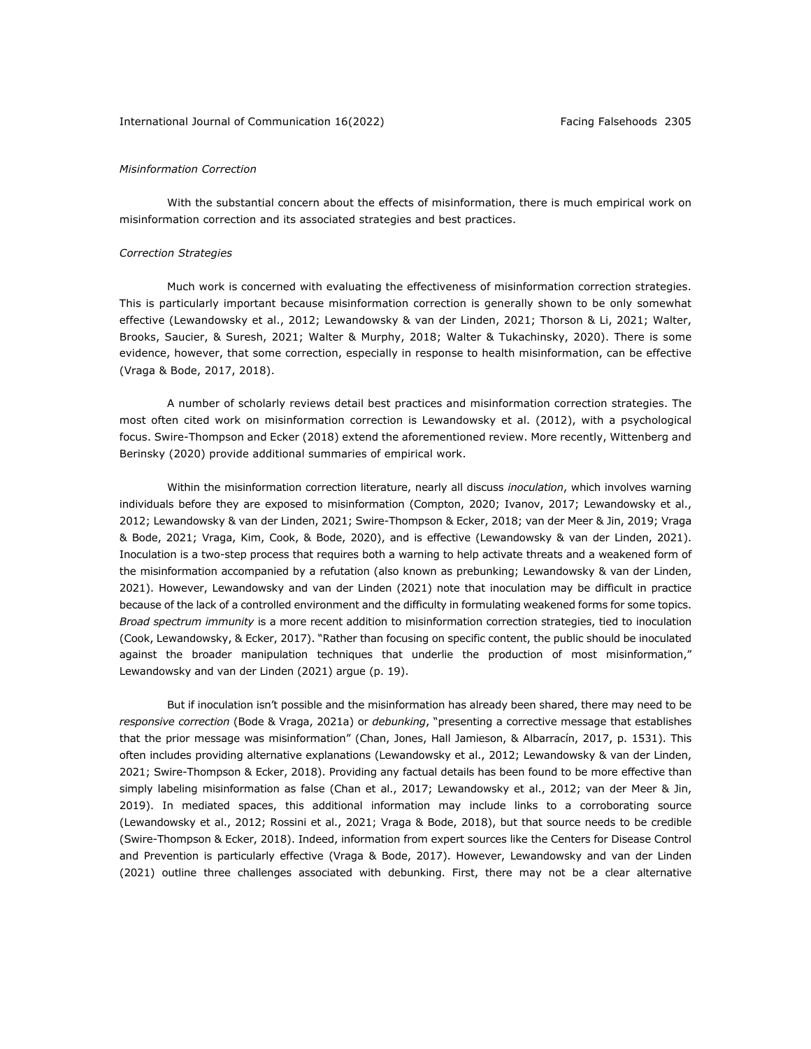### International Journal of Communication 16(2022) Facing Falsehoods 2305

### *Misinformation Correction*

With the substantial concern about the effects of misinformation, there is much empirical work on misinformation correction and its associated strategies and best practices.

### *Correction Strategies*

Much work is concerned with evaluating the effectiveness of misinformation correction strategies. This is particularly important because misinformation correction is generally shown to be only somewhat effective (Lewandowsky et al., 2012; Lewandowsky & van der Linden, 2021; Thorson & Li, 2021; Walter, Brooks, Saucier, & Suresh, 2021; Walter & Murphy, 2018; Walter & Tukachinsky, 2020). There is some evidence, however, that some correction, especially in response to health misinformation, can be effective (Vraga & Bode, 2017, 2018).

A number of scholarly reviews detail best practices and misinformation correction strategies. The most often cited work on misinformation correction is Lewandowsky et al. (2012), with a psychological focus. Swire-Thompson and Ecker (2018) extend the aforementioned review. More recently, Wittenberg and Berinsky (2020) provide additional summaries of empirical work.

Within the misinformation correction literature, nearly all discuss *inoculation*, which involves warning individuals before they are exposed to misinformation (Compton, 2020; Ivanov, 2017; Lewandowsky et al., 2012; Lewandowsky & van der Linden, 2021; Swire-Thompson & Ecker, 2018; van der Meer & Jin, 2019; Vraga & Bode, 2021; Vraga, Kim, Cook, & Bode, 2020), and is effective (Lewandowsky & van der Linden, 2021). Inoculation is a two-step process that requires both a warning to help activate threats and a weakened form of the misinformation accompanied by a refutation (also known as prebunking; Lewandowsky & van der Linden, 2021). However, Lewandowsky and van der Linden (2021) note that inoculation may be difficult in practice because of the lack of a controlled environment and the difficulty in formulating weakened forms for some topics. *Broad spectrum immunity* is a more recent addition to misinformation correction strategies, tied to inoculation (Cook, Lewandowsky, & Ecker, 2017). "Rather than focusing on specific content, the public should be inoculated against the broader manipulation techniques that underlie the production of most misinformation," Lewandowsky and van der Linden (2021) argue (p. 19).

But if inoculation isn't possible and the misinformation has already been shared, there may need to be *responsive correction* (Bode & Vraga, 2021a) or *debunking*, "presenting a corrective message that establishes that the prior message was misinformation" (Chan, Jones, Hall Jamieson, & Albarracín, 2017, p. 1531). This often includes providing alternative explanations (Lewandowsky et al., 2012; Lewandowsky & van der Linden, 2021; Swire-Thompson & Ecker, 2018). Providing any factual details has been found to be more effective than simply labeling misinformation as false (Chan et al., 2017; Lewandowsky et al., 2012; van der Meer & Jin, 2019). In mediated spaces, this additional information may include links to a corroborating source (Lewandowsky et al., 2012; Rossini et al., 2021; Vraga & Bode, 2018), but that source needs to be credible (Swire-Thompson & Ecker, 2018). Indeed, information from expert sources like the Centers for Disease Control and Prevention is particularly effective (Vraga & Bode, 2017). However, Lewandowsky and van der Linden (2021) outline three challenges associated with debunking. First, there may not be a clear alternative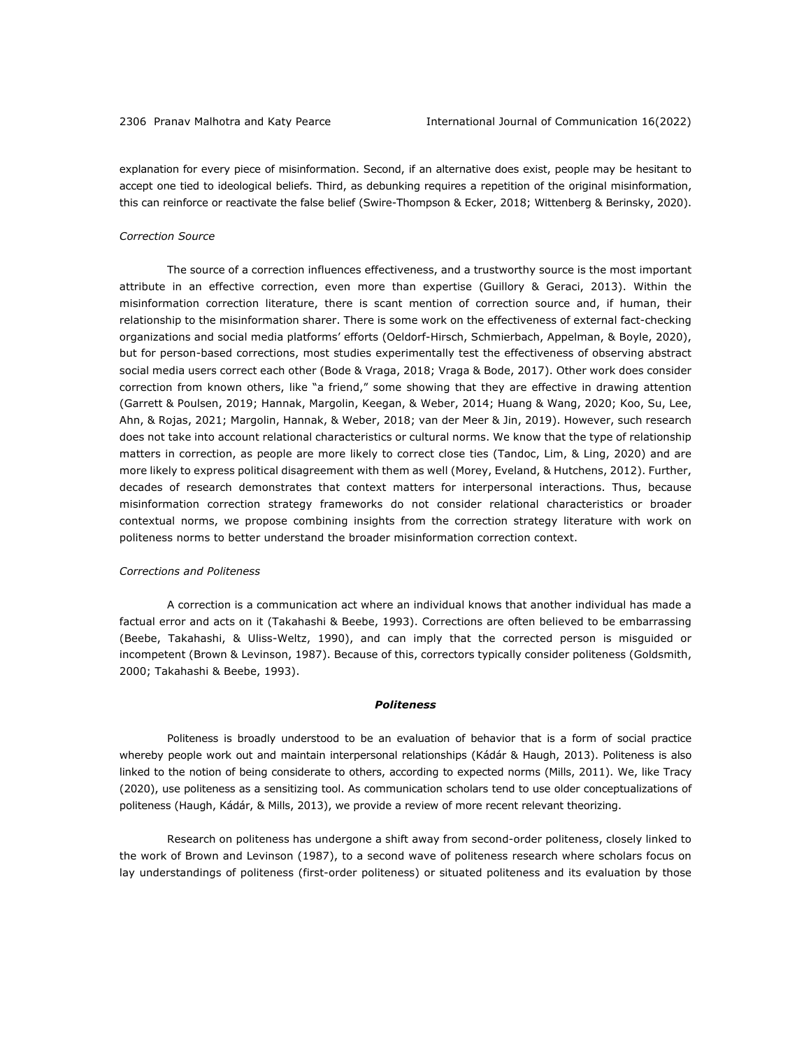explanation for every piece of misinformation. Second, if an alternative does exist, people may be hesitant to accept one tied to ideological beliefs. Third, as debunking requires a repetition of the original misinformation, this can reinforce or reactivate the false belief (Swire-Thompson & Ecker, 2018; Wittenberg & Berinsky, 2020).

#### *Correction Source*

The source of a correction influences effectiveness, and a trustworthy source is the most important attribute in an effective correction, even more than expertise (Guillory & Geraci, 2013). Within the misinformation correction literature, there is scant mention of correction source and, if human, their relationship to the misinformation sharer. There is some work on the effectiveness of external fact-checking organizations and social media platforms' efforts (Oeldorf-Hirsch, Schmierbach, Appelman, & Boyle, 2020), but for person-based corrections, most studies experimentally test the effectiveness of observing abstract social media users correct each other (Bode & Vraga, 2018; Vraga & Bode, 2017). Other work does consider correction from known others, like "a friend," some showing that they are effective in drawing attention (Garrett & Poulsen, 2019; Hannak, Margolin, Keegan, & Weber, 2014; Huang & Wang, 2020; Koo, Su, Lee, Ahn, & Rojas, 2021; Margolin, Hannak, & Weber, 2018; van der Meer & Jin, 2019). However, such research does not take into account relational characteristics or cultural norms. We know that the type of relationship matters in correction, as people are more likely to correct close ties (Tandoc, Lim, & Ling, 2020) and are more likely to express political disagreement with them as well (Morey, Eveland, & Hutchens, 2012). Further, decades of research demonstrates that context matters for interpersonal interactions. Thus, because misinformation correction strategy frameworks do not consider relational characteristics or broader contextual norms, we propose combining insights from the correction strategy literature with work on politeness norms to better understand the broader misinformation correction context.

### *Corrections and Politeness*

A correction is a communication act where an individual knows that another individual has made a factual error and acts on it (Takahashi & Beebe, 1993). Corrections are often believed to be embarrassing (Beebe, Takahashi, & Uliss-Weltz, 1990), and can imply that the corrected person is misguided or incompetent (Brown & Levinson, 1987). Because of this, correctors typically consider politeness (Goldsmith, 2000; Takahashi & Beebe, 1993).

#### *Politeness*

Politeness is broadly understood to be an evaluation of behavior that is a form of social practice whereby people work out and maintain interpersonal relationships (Kádár & Haugh, 2013). Politeness is also linked to the notion of being considerate to others, according to expected norms (Mills, 2011). We, like Tracy (2020), use politeness as a sensitizing tool. As communication scholars tend to use older conceptualizations of politeness (Haugh, Kádár, & Mills, 2013), we provide a review of more recent relevant theorizing.

Research on politeness has undergone a shift away from second-order politeness, closely linked to the work of Brown and Levinson (1987), to a second wave of politeness research where scholars focus on lay understandings of politeness (first-order politeness) or situated politeness and its evaluation by those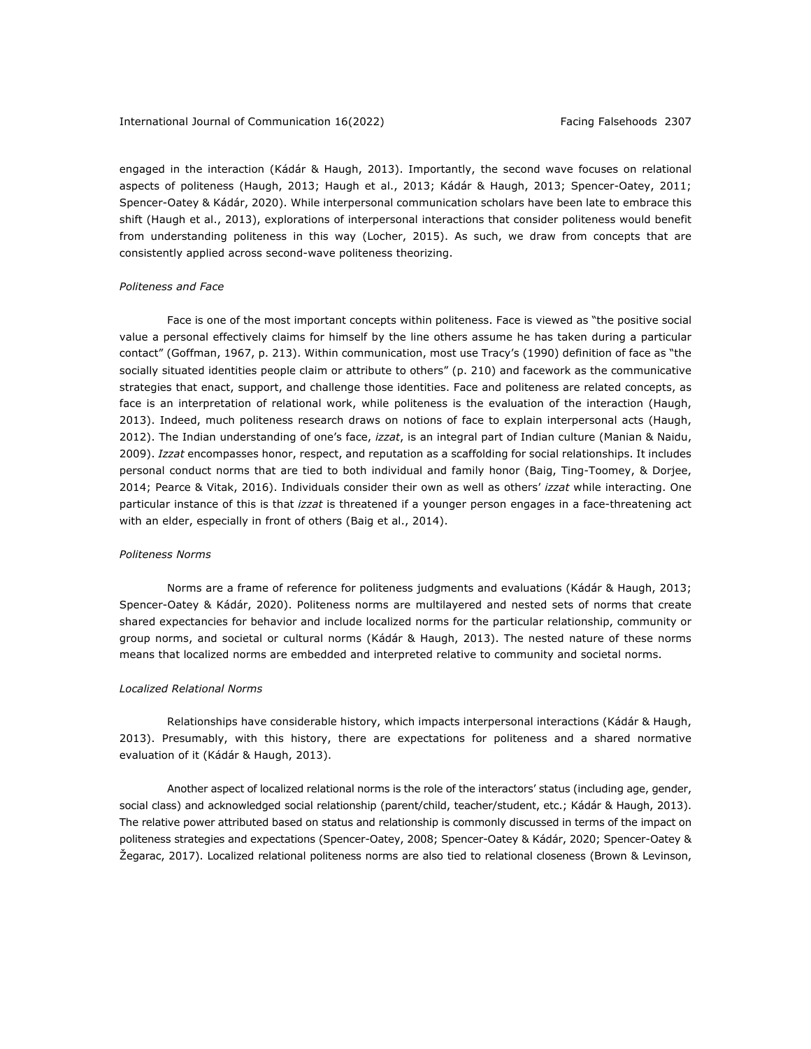engaged in the interaction (Kádár & Haugh, 2013). Importantly, the second wave focuses on relational aspects of politeness (Haugh, 2013; Haugh et al., 2013; Kádár & Haugh, 2013; Spencer-Oatey, 2011; Spencer-Oatey & Kádár, 2020). While interpersonal communication scholars have been late to embrace this shift (Haugh et al., 2013), explorations of interpersonal interactions that consider politeness would benefit from understanding politeness in this way (Locher, 2015). As such, we draw from concepts that are consistently applied across second-wave politeness theorizing.

### *Politeness and Face*

Face is one of the most important concepts within politeness. Face is viewed as "the positive social value a personal effectively claims for himself by the line others assume he has taken during a particular contact" (Goffman, 1967, p. 213). Within communication, most use Tracy's (1990) definition of face as "the socially situated identities people claim or attribute to others" (p. 210) and facework as the communicative strategies that enact, support, and challenge those identities. Face and politeness are related concepts, as face is an interpretation of relational work, while politeness is the evaluation of the interaction (Haugh, 2013). Indeed, much politeness research draws on notions of face to explain interpersonal acts (Haugh, 2012). The Indian understanding of one's face, *izzat*, is an integral part of Indian culture (Manian & Naidu, 2009). *Izzat* encompasses honor, respect, and reputation as a scaffolding for social relationships. It includes personal conduct norms that are tied to both individual and family honor (Baig, Ting-Toomey, & Dorjee, 2014; Pearce & Vitak, 2016). Individuals consider their own as well as others' *izzat* while interacting. One particular instance of this is that *izzat* is threatened if a younger person engages in a face-threatening act with an elder, especially in front of others (Baig et al., 2014).

### *Politeness Norms*

Norms are a frame of reference for politeness judgments and evaluations (Kádár & Haugh, 2013; Spencer-Oatey & Kádár, 2020). Politeness norms are multilayered and nested sets of norms that create shared expectancies for behavior and include localized norms for the particular relationship, community or group norms, and societal or cultural norms (Kádár & Haugh, 2013). The nested nature of these norms means that localized norms are embedded and interpreted relative to community and societal norms.

#### *Localized Relational Norms*

Relationships have considerable history, which impacts interpersonal interactions (Kádár & Haugh, 2013). Presumably, with this history, there are expectations for politeness and a shared normative evaluation of it (Kádár & Haugh, 2013).

Another aspect of localized relational norms is the role of the interactors' status (including age, gender, social class) and acknowledged social relationship (parent/child, teacher/student, etc.; Kádár & Haugh, 2013). The relative power attributed based on status and relationship is commonly discussed in terms of the impact on politeness strategies and expectations (Spencer-Oatey, 2008; Spencer-Oatey & Kádár, 2020; Spencer-Oatey & Žegarac, 2017). Localized relational politeness norms are also tied to relational closeness (Brown & Levinson,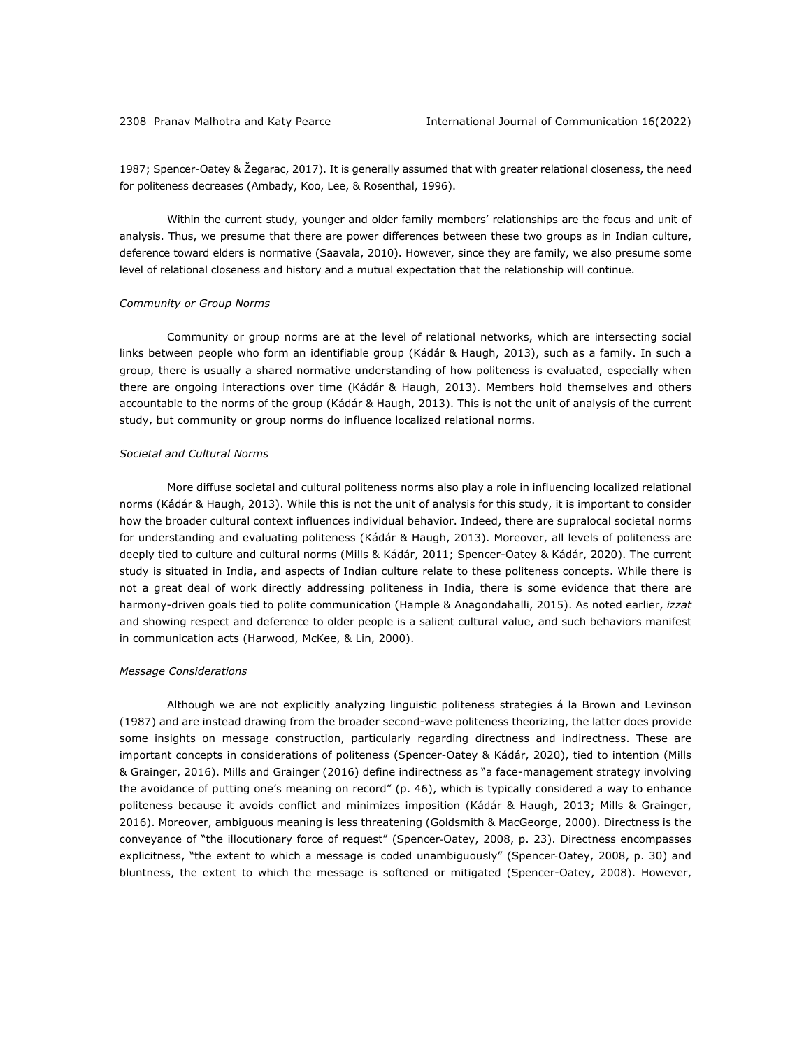1987; Spencer-Oatey & Žegarac, 2017). It is generally assumed that with greater relational closeness, the need for politeness decreases (Ambady, Koo, Lee, & Rosenthal, 1996).

Within the current study, younger and older family members' relationships are the focus and unit of analysis. Thus, we presume that there are power differences between these two groups as in Indian culture, deference toward elders is normative (Saavala, 2010). However, since they are family, we also presume some level of relational closeness and history and a mutual expectation that the relationship will continue.

### *Community or Group Norms*

Community or group norms are at the level of relational networks, which are intersecting social links between people who form an identifiable group (Kádár & Haugh, 2013), such as a family. In such a group, there is usually a shared normative understanding of how politeness is evaluated, especially when there are ongoing interactions over time (Kádár & Haugh, 2013). Members hold themselves and others accountable to the norms of the group (Kádár & Haugh, 2013). This is not the unit of analysis of the current study, but community or group norms do influence localized relational norms.

### *Societal and Cultural Norms*

More diffuse societal and cultural politeness norms also play a role in influencing localized relational norms (Kádár & Haugh, 2013). While this is not the unit of analysis for this study, it is important to consider how the broader cultural context influences individual behavior. Indeed, there are supralocal societal norms for understanding and evaluating politeness (Kádár & Haugh, 2013). Moreover, all levels of politeness are deeply tied to culture and cultural norms (Mills & Kádár, 2011; Spencer-Oatey & Kádár, 2020). The current study is situated in India, and aspects of Indian culture relate to these politeness concepts. While there is not a great deal of work directly addressing politeness in India, there is some evidence that there are harmony-driven goals tied to polite communication (Hample & Anagondahalli, 2015). As noted earlier, *izzat* and showing respect and deference to older people is a salient cultural value, and such behaviors manifest in communication acts (Harwood, McKee, & Lin, 2000).

### *Message Considerations*

Although we are not explicitly analyzing linguistic politeness strategies á la Brown and Levinson (1987) and are instead drawing from the broader second-wave politeness theorizing, the latter does provide some insights on message construction, particularly regarding directness and indirectness. These are important concepts in considerations of politeness (Spencer-Oatey & Kádár, 2020), tied to intention (Mills & Grainger, 2016). Mills and Grainger (2016) define indirectness as "a face-management strategy involving the avoidance of putting one's meaning on record" (p. 46), which is typically considered a way to enhance politeness because it avoids conflict and minimizes imposition (Kádár & Haugh, 2013; Mills & Grainger, 2016). Moreover, ambiguous meaning is less threatening (Goldsmith & MacGeorge, 2000). Directness is the conveyance of "the illocutionary force of request" (Spencer-Oatey, 2008, p. 23). Directness encompasses explicitness, "the extent to which a message is coded unambiguously" (Spencer-Oatey, 2008, p. 30) and bluntness, the extent to which the message is softened or mitigated (Spencer-Oatey, 2008). However,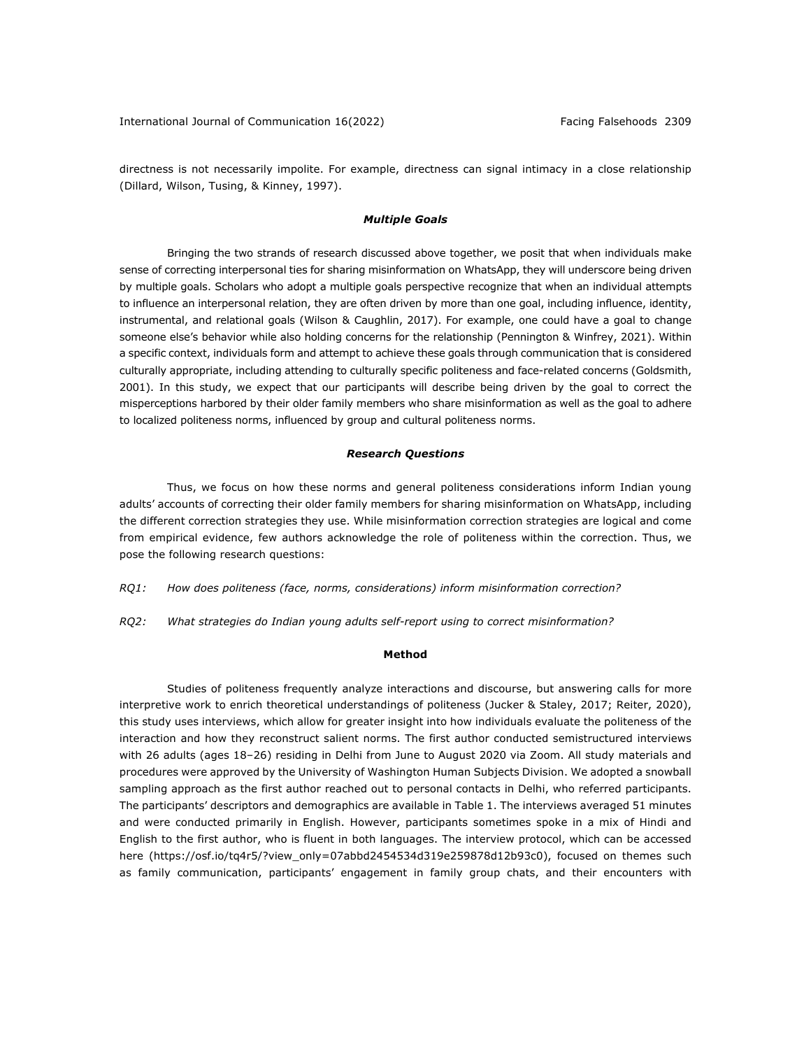directness is not necessarily impolite. For example, directness can signal intimacy in a close relationship (Dillard, Wilson, Tusing, & Kinney, 1997).

### *Multiple Goals*

Bringing the two strands of research discussed above together, we posit that when individuals make sense of correcting interpersonal ties for sharing misinformation on WhatsApp, they will underscore being driven by multiple goals. Scholars who adopt a multiple goals perspective recognize that when an individual attempts to influence an interpersonal relation, they are often driven by more than one goal, including influence, identity, instrumental, and relational goals (Wilson & Caughlin, 2017). For example, one could have a goal to change someone else's behavior while also holding concerns for the relationship (Pennington & Winfrey, 2021). Within a specific context, individuals form and attempt to achieve these goals through communication that is considered culturally appropriate, including attending to culturally specific politeness and face-related concerns (Goldsmith, 2001). In this study, we expect that our participants will describe being driven by the goal to correct the misperceptions harbored by their older family members who share misinformation as well as the goal to adhere to localized politeness norms, influenced by group and cultural politeness norms.

### *Research Questions*

Thus, we focus on how these norms and general politeness considerations inform Indian young adults' accounts of correcting their older family members for sharing misinformation on WhatsApp, including the different correction strategies they use. While misinformation correction strategies are logical and come from empirical evidence, few authors acknowledge the role of politeness within the correction. Thus, we pose the following research questions:

*RQ1: How does politeness (face, norms, considerations) inform misinformation correction?*

*RQ2: What strategies do Indian young adults self-report using to correct misinformation?*

## **Method**

Studies of politeness frequently analyze interactions and discourse, but answering calls for more interpretive work to enrich theoretical understandings of politeness (Jucker & Staley, 2017; Reiter, 2020), this study uses interviews, which allow for greater insight into how individuals evaluate the politeness of the interaction and how they reconstruct salient norms. The first author conducted semistructured interviews with 26 adults (ages 18–26) residing in Delhi from June to August 2020 via Zoom. All study materials and procedures were approved by the University of Washington Human Subjects Division. We adopted a snowball sampling approach as the first author reached out to personal contacts in Delhi, who referred participants. The participants' descriptors and demographics are available in Table 1. The interviews averaged 51 minutes and were conducted primarily in English. However, participants sometimes spoke in a mix of Hindi and English to the first author, who is fluent in both languages. The interview protocol, which can be accessed here (https://osf.io/tq4r5/?view\_only=07abbd2454534d319e259878d12b93c0), focused on themes such as family communication, participants' engagement in family group chats, and their encounters with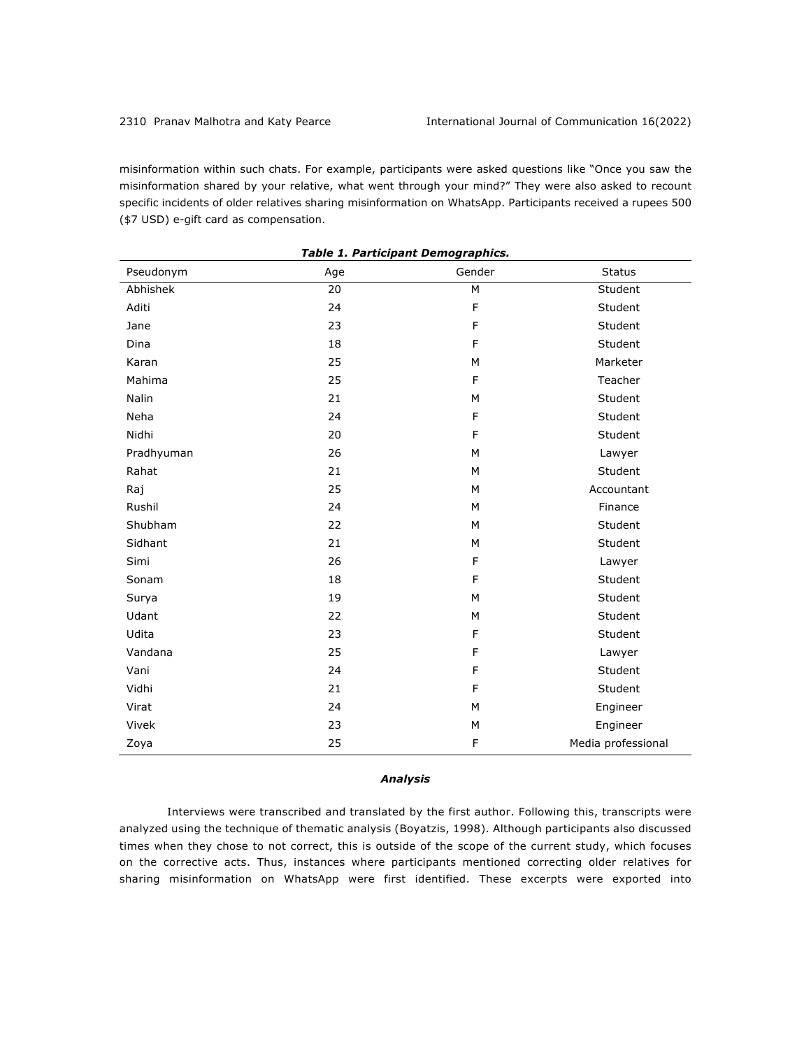misinformation within such chats. For example, participants were asked questions like "Once you saw the misinformation shared by your relative, what went through your mind?" They were also asked to recount specific incidents of older relatives sharing misinformation on WhatsApp. Participants received a rupees 500 (\$7 USD) e-gift card as compensation.

| Pseudonym  | Age | Gender | <b>Status</b>      |
|------------|-----|--------|--------------------|
| Abhishek   | 20  | M      | Student            |
| Aditi      | 24  | F      | Student            |
| Jane       | 23  | F      | Student            |
| Dina       | 18  | F      | Student            |
| Karan      | 25  | M      | Marketer           |
| Mahima     | 25  | F      | Teacher            |
| Nalin      | 21  | M      | Student            |
| Neha       | 24  | F      | Student            |
| Nidhi      | 20  | F      | Student            |
| Pradhyuman | 26  | M      | Lawyer             |
| Rahat      | 21  | M      | Student            |
| Raj        | 25  | М      | Accountant         |
| Rushil     | 24  | M      | Finance            |
| Shubham    | 22  | M      | Student            |
| Sidhant    | 21  | M      | Student            |
| Simi       | 26  | F      | Lawyer             |
| Sonam      | 18  | F      | Student            |
| Surya      | 19  | М      | Student            |
| Udant      | 22  | M      | Student            |
| Udita      | 23  | F      | Student            |
| Vandana    | 25  | F      | Lawyer             |
| Vani       | 24  | F      | Student            |
| Vidhi      | 21  | F      | Student            |
| Virat      | 24  | M      | Engineer           |
| Vivek      | 23  | M      | Engineer           |
| Zoya       | 25  | F      | Media professional |

# *Table 1. Participant Demographics.*

# *Analysis*

Interviews were transcribed and translated by the first author. Following this, transcripts were analyzed using the technique of thematic analysis (Boyatzis, 1998). Although participants also discussed times when they chose to not correct, this is outside of the scope of the current study, which focuses on the corrective acts. Thus, instances where participants mentioned correcting older relatives for sharing misinformation on WhatsApp were first identified. These excerpts were exported into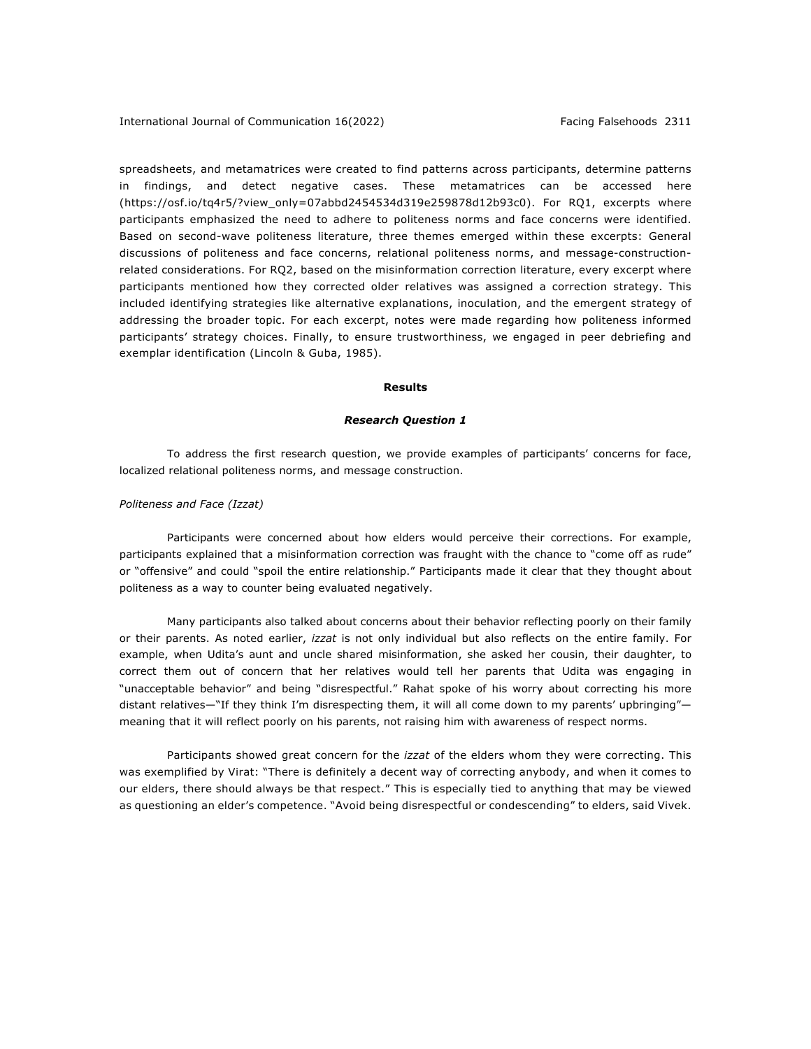spreadsheets, and metamatrices were created to find patterns across participants, determine patterns in findings, and detect negative cases. These metamatrices can be accessed here (https://osf.io/tq4r5/?view\_only=07abbd2454534d319e259878d12b93c0). For RQ1, excerpts where participants emphasized the need to adhere to politeness norms and face concerns were identified. Based on second-wave politeness literature, three themes emerged within these excerpts: General discussions of politeness and face concerns, relational politeness norms, and message-constructionrelated considerations. For RQ2, based on the misinformation correction literature, every excerpt where participants mentioned how they corrected older relatives was assigned a correction strategy. This included identifying strategies like alternative explanations, inoculation, and the emergent strategy of addressing the broader topic. For each excerpt, notes were made regarding how politeness informed participants' strategy choices. Finally, to ensure trustworthiness, we engaged in peer debriefing and exemplar identification (Lincoln & Guba, 1985).

### **Results**

### *Research Question 1*

To address the first research question, we provide examples of participants' concerns for face, localized relational politeness norms, and message construction.

### *Politeness and Face (Izzat)*

Participants were concerned about how elders would perceive their corrections. For example, participants explained that a misinformation correction was fraught with the chance to "come off as rude" or "offensive" and could "spoil the entire relationship." Participants made it clear that they thought about politeness as a way to counter being evaluated negatively.

Many participants also talked about concerns about their behavior reflecting poorly on their family or their parents. As noted earlier, *izzat* is not only individual but also reflects on the entire family. For example, when Udita's aunt and uncle shared misinformation, she asked her cousin, their daughter, to correct them out of concern that her relatives would tell her parents that Udita was engaging in "unacceptable behavior" and being "disrespectful." Rahat spoke of his worry about correcting his more distant relatives—"If they think I'm disrespecting them, it will all come down to my parents' upbringing" meaning that it will reflect poorly on his parents, not raising him with awareness of respect norms.

Participants showed great concern for the *izzat* of the elders whom they were correcting. This was exemplified by Virat: "There is definitely a decent way of correcting anybody, and when it comes to our elders, there should always be that respect." This is especially tied to anything that may be viewed as questioning an elder's competence. "Avoid being disrespectful or condescending" to elders, said Vivek.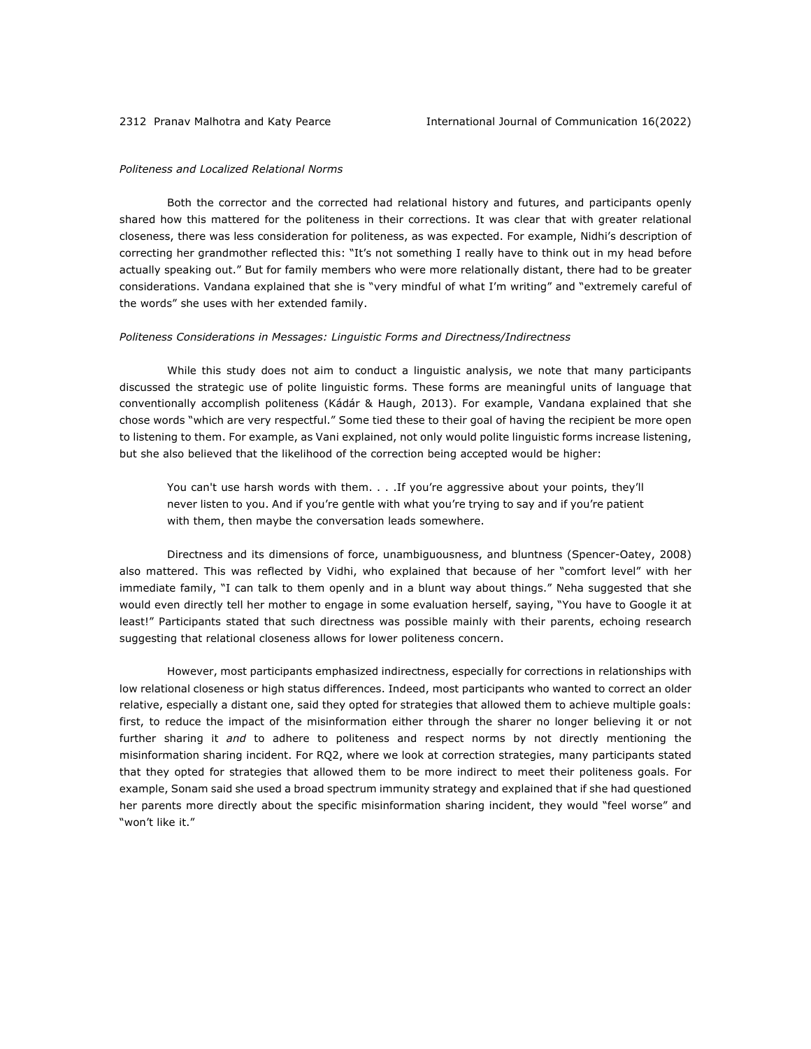# *Politeness and Localized Relational Norms*

Both the corrector and the corrected had relational history and futures, and participants openly shared how this mattered for the politeness in their corrections. It was clear that with greater relational closeness, there was less consideration for politeness, as was expected. For example, Nidhi's description of correcting her grandmother reflected this: "It's not something I really have to think out in my head before actually speaking out." But for family members who were more relationally distant, there had to be greater considerations. Vandana explained that she is "very mindful of what I'm writing" and "extremely careful of the words" she uses with her extended family.

#### *Politeness Considerations in Messages: Linguistic Forms and Directness/Indirectness*

While this study does not aim to conduct a linguistic analysis, we note that many participants discussed the strategic use of polite linguistic forms. These forms are meaningful units of language that conventionally accomplish politeness (Kádár & Haugh, 2013). For example, Vandana explained that she chose words "which are very respectful." Some tied these to their goal of having the recipient be more open to listening to them. For example, as Vani explained, not only would polite linguistic forms increase listening, but she also believed that the likelihood of the correction being accepted would be higher:

You can't use harsh words with them. . . . If you're aggressive about your points, they'll never listen to you. And if you're gentle with what you're trying to say and if you're patient with them, then maybe the conversation leads somewhere.

Directness and its dimensions of force, unambiguousness, and bluntness (Spencer-Oatey, 2008) also mattered. This was reflected by Vidhi, who explained that because of her "comfort level" with her immediate family, "I can talk to them openly and in a blunt way about things." Neha suggested that she would even directly tell her mother to engage in some evaluation herself, saying, "You have to Google it at least!" Participants stated that such directness was possible mainly with their parents, echoing research suggesting that relational closeness allows for lower politeness concern.

However, most participants emphasized indirectness, especially for corrections in relationships with low relational closeness or high status differences. Indeed, most participants who wanted to correct an older relative, especially a distant one, said they opted for strategies that allowed them to achieve multiple goals: first, to reduce the impact of the misinformation either through the sharer no longer believing it or not further sharing it *and* to adhere to politeness and respect norms by not directly mentioning the misinformation sharing incident. For RQ2, where we look at correction strategies, many participants stated that they opted for strategies that allowed them to be more indirect to meet their politeness goals. For example, Sonam said she used a broad spectrum immunity strategy and explained that if she had questioned her parents more directly about the specific misinformation sharing incident, they would "feel worse" and "won't like it."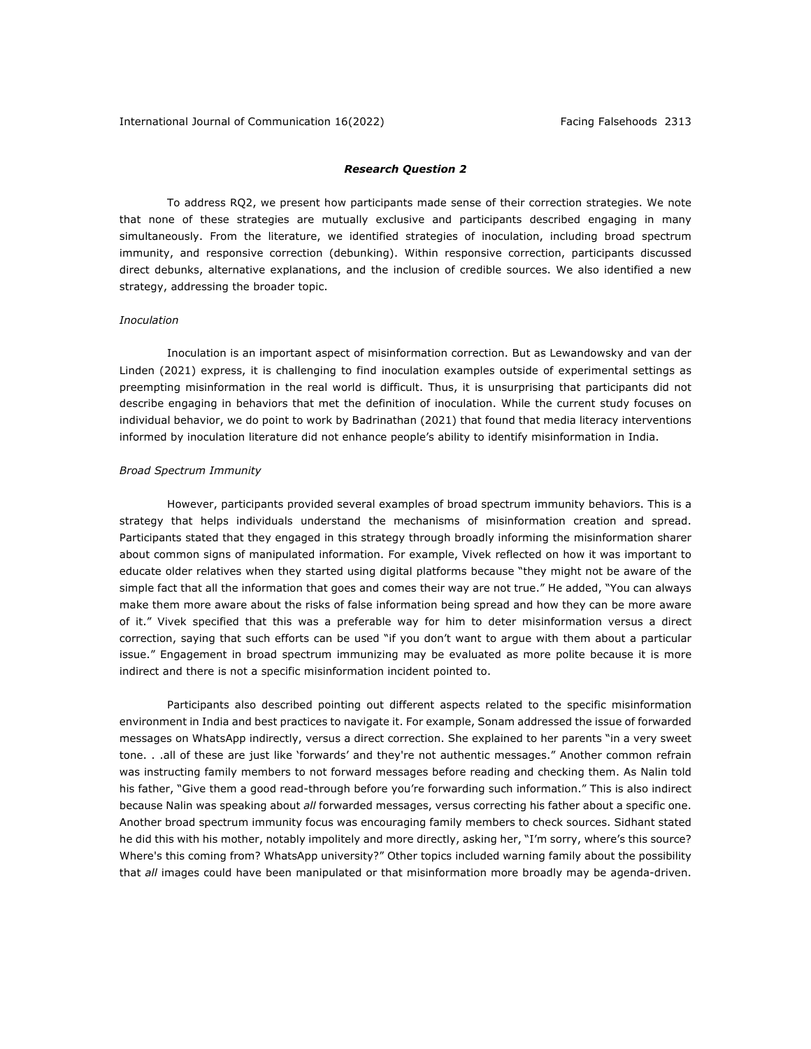# *Research Question 2*

To address RQ2, we present how participants made sense of their correction strategies. We note that none of these strategies are mutually exclusive and participants described engaging in many simultaneously. From the literature, we identified strategies of inoculation, including broad spectrum immunity, and responsive correction (debunking). Within responsive correction, participants discussed direct debunks, alternative explanations, and the inclusion of credible sources. We also identified a new strategy, addressing the broader topic.

### *Inoculation*

Inoculation is an important aspect of misinformation correction. But as Lewandowsky and van der Linden (2021) express, it is challenging to find inoculation examples outside of experimental settings as preempting misinformation in the real world is difficult. Thus, it is unsurprising that participants did not describe engaging in behaviors that met the definition of inoculation. While the current study focuses on individual behavior, we do point to work by Badrinathan (2021) that found that media literacy interventions informed by inoculation literature did not enhance people's ability to identify misinformation in India.

### *Broad Spectrum Immunity*

However, participants provided several examples of broad spectrum immunity behaviors. This is a strategy that helps individuals understand the mechanisms of misinformation creation and spread. Participants stated that they engaged in this strategy through broadly informing the misinformation sharer about common signs of manipulated information. For example, Vivek reflected on how it was important to educate older relatives when they started using digital platforms because "they might not be aware of the simple fact that all the information that goes and comes their way are not true." He added, "You can always make them more aware about the risks of false information being spread and how they can be more aware of it." Vivek specified that this was a preferable way for him to deter misinformation versus a direct correction, saying that such efforts can be used "if you don't want to argue with them about a particular issue." Engagement in broad spectrum immunizing may be evaluated as more polite because it is more indirect and there is not a specific misinformation incident pointed to.

Participants also described pointing out different aspects related to the specific misinformation environment in India and best practices to navigate it. For example, Sonam addressed the issue of forwarded messages on WhatsApp indirectly, versus a direct correction. She explained to her parents "in a very sweet tone. . .all of these are just like 'forwards' and they're not authentic messages." Another common refrain was instructing family members to not forward messages before reading and checking them. As Nalin told his father, "Give them a good read-through before you're forwarding such information." This is also indirect because Nalin was speaking about *all* forwarded messages, versus correcting his father about a specific one. Another broad spectrum immunity focus was encouraging family members to check sources. Sidhant stated he did this with his mother, notably impolitely and more directly, asking her, "I'm sorry, where's this source? Where's this coming from? WhatsApp university?" Other topics included warning family about the possibility that *all* images could have been manipulated or that misinformation more broadly may be agenda-driven.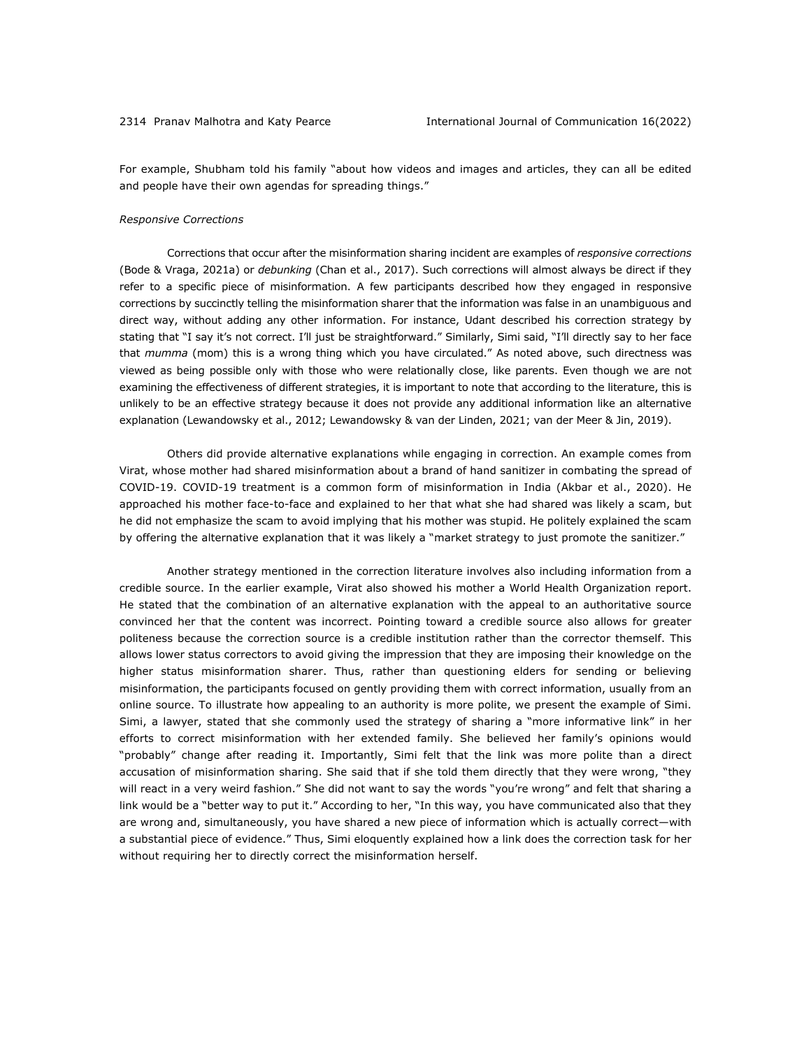For example, Shubham told his family "about how videos and images and articles, they can all be edited and people have their own agendas for spreading things."

#### *Responsive Corrections*

Corrections that occur after the misinformation sharing incident are examples of *responsive corrections* (Bode & Vraga, 2021a) or *debunking* (Chan et al., 2017). Such corrections will almost always be direct if they refer to a specific piece of misinformation. A few participants described how they engaged in responsive corrections by succinctly telling the misinformation sharer that the information was false in an unambiguous and direct way, without adding any other information. For instance, Udant described his correction strategy by stating that "I say it's not correct. I'll just be straightforward." Similarly, Simi said, "I'll directly say to her face that *mumma* (mom) this is a wrong thing which you have circulated." As noted above, such directness was viewed as being possible only with those who were relationally close, like parents. Even though we are not examining the effectiveness of different strategies, it is important to note that according to the literature, this is unlikely to be an effective strategy because it does not provide any additional information like an alternative explanation (Lewandowsky et al., 2012; Lewandowsky & van der Linden, 2021; van der Meer & Jin, 2019).

Others did provide alternative explanations while engaging in correction. An example comes from Virat, whose mother had shared misinformation about a brand of hand sanitizer in combating the spread of COVID-19. COVID-19 treatment is a common form of misinformation in India (Akbar et al., 2020). He approached his mother face-to-face and explained to her that what she had shared was likely a scam, but he did not emphasize the scam to avoid implying that his mother was stupid. He politely explained the scam by offering the alternative explanation that it was likely a "market strategy to just promote the sanitizer."

Another strategy mentioned in the correction literature involves also including information from a credible source. In the earlier example, Virat also showed his mother a World Health Organization report. He stated that the combination of an alternative explanation with the appeal to an authoritative source convinced her that the content was incorrect. Pointing toward a credible source also allows for greater politeness because the correction source is a credible institution rather than the corrector themself. This allows lower status correctors to avoid giving the impression that they are imposing their knowledge on the higher status misinformation sharer. Thus, rather than questioning elders for sending or believing misinformation, the participants focused on gently providing them with correct information, usually from an online source. To illustrate how appealing to an authority is more polite, we present the example of Simi. Simi, a lawyer, stated that she commonly used the strategy of sharing a "more informative link" in her efforts to correct misinformation with her extended family. She believed her family's opinions would "probably" change after reading it. Importantly, Simi felt that the link was more polite than a direct accusation of misinformation sharing. She said that if she told them directly that they were wrong, "they will react in a very weird fashion." She did not want to say the words "you're wrong" and felt that sharing a link would be a "better way to put it." According to her, "In this way, you have communicated also that they are wrong and, simultaneously, you have shared a new piece of information which is actually correct—with a substantial piece of evidence." Thus, Simi eloquently explained how a link does the correction task for her without requiring her to directly correct the misinformation herself.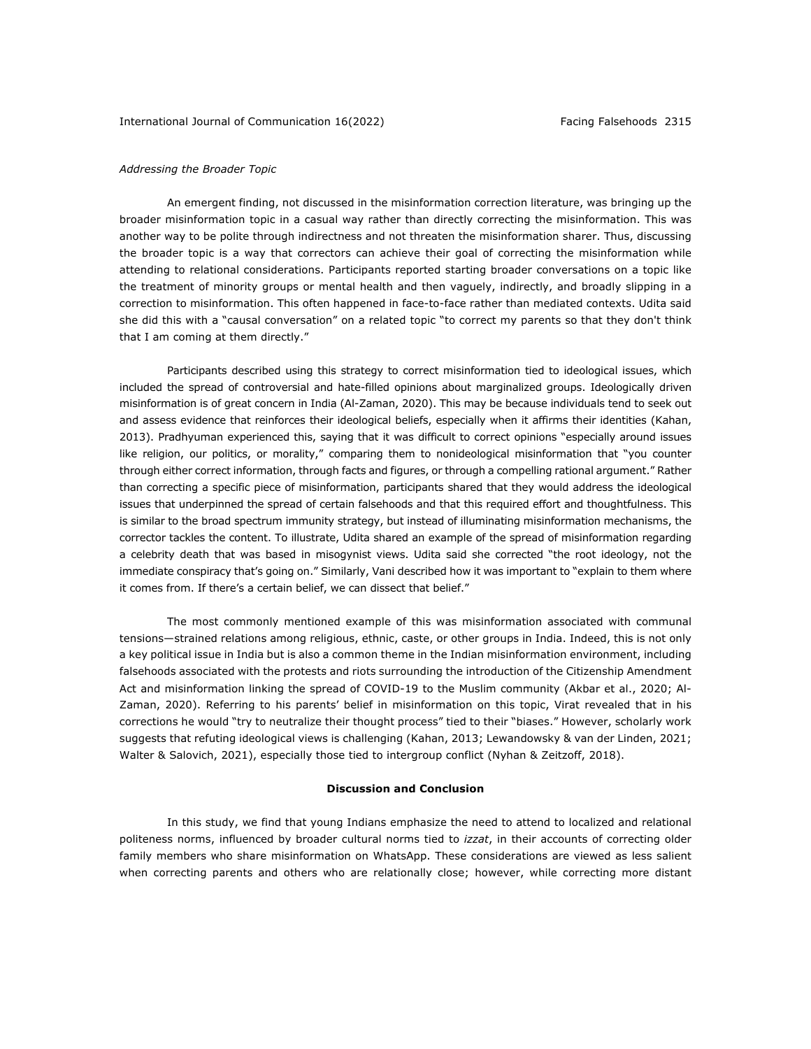### *Addressing the Broader Topic*

An emergent finding, not discussed in the misinformation correction literature, was bringing up the broader misinformation topic in a casual way rather than directly correcting the misinformation. This was another way to be polite through indirectness and not threaten the misinformation sharer. Thus, discussing the broader topic is a way that correctors can achieve their goal of correcting the misinformation while attending to relational considerations. Participants reported starting broader conversations on a topic like the treatment of minority groups or mental health and then vaguely, indirectly, and broadly slipping in a correction to misinformation. This often happened in face-to-face rather than mediated contexts. Udita said she did this with a "causal conversation" on a related topic "to correct my parents so that they don't think that I am coming at them directly."

Participants described using this strategy to correct misinformation tied to ideological issues, which included the spread of controversial and hate-filled opinions about marginalized groups. Ideologically driven misinformation is of great concern in India (Al-Zaman, 2020). This may be because individuals tend to seek out and assess evidence that reinforces their ideological beliefs, especially when it affirms their identities (Kahan, 2013). Pradhyuman experienced this, saying that it was difficult to correct opinions "especially around issues like religion, our politics, or morality," comparing them to nonideological misinformation that "you counter through either correct information, through facts and figures, or through a compelling rational argument." Rather than correcting a specific piece of misinformation, participants shared that they would address the ideological issues that underpinned the spread of certain falsehoods and that this required effort and thoughtfulness. This is similar to the broad spectrum immunity strategy, but instead of illuminating misinformation mechanisms, the corrector tackles the content. To illustrate, Udita shared an example of the spread of misinformation regarding a celebrity death that was based in misogynist views. Udita said she corrected "the root ideology, not the immediate conspiracy that's going on." Similarly, Vani described how it was important to "explain to them where it comes from. If there's a certain belief, we can dissect that belief."

The most commonly mentioned example of this was misinformation associated with communal tensions—strained relations among religious, ethnic, caste, or other groups in India. Indeed, this is not only a key political issue in India but is also a common theme in the Indian misinformation environment, including falsehoods associated with the protests and riots surrounding the introduction of the Citizenship Amendment Act and misinformation linking the spread of COVID-19 to the Muslim community (Akbar et al., 2020; Al-Zaman, 2020). Referring to his parents' belief in misinformation on this topic, Virat revealed that in his corrections he would "try to neutralize their thought process" tied to their "biases." However, scholarly work suggests that refuting ideological views is challenging (Kahan, 2013; Lewandowsky & van der Linden, 2021; Walter & Salovich, 2021), especially those tied to intergroup conflict (Nyhan & Zeitzoff, 2018).

# **Discussion and Conclusion**

In this study, we find that young Indians emphasize the need to attend to localized and relational politeness norms, influenced by broader cultural norms tied to *izzat*, in their accounts of correcting older family members who share misinformation on WhatsApp. These considerations are viewed as less salient when correcting parents and others who are relationally close; however, while correcting more distant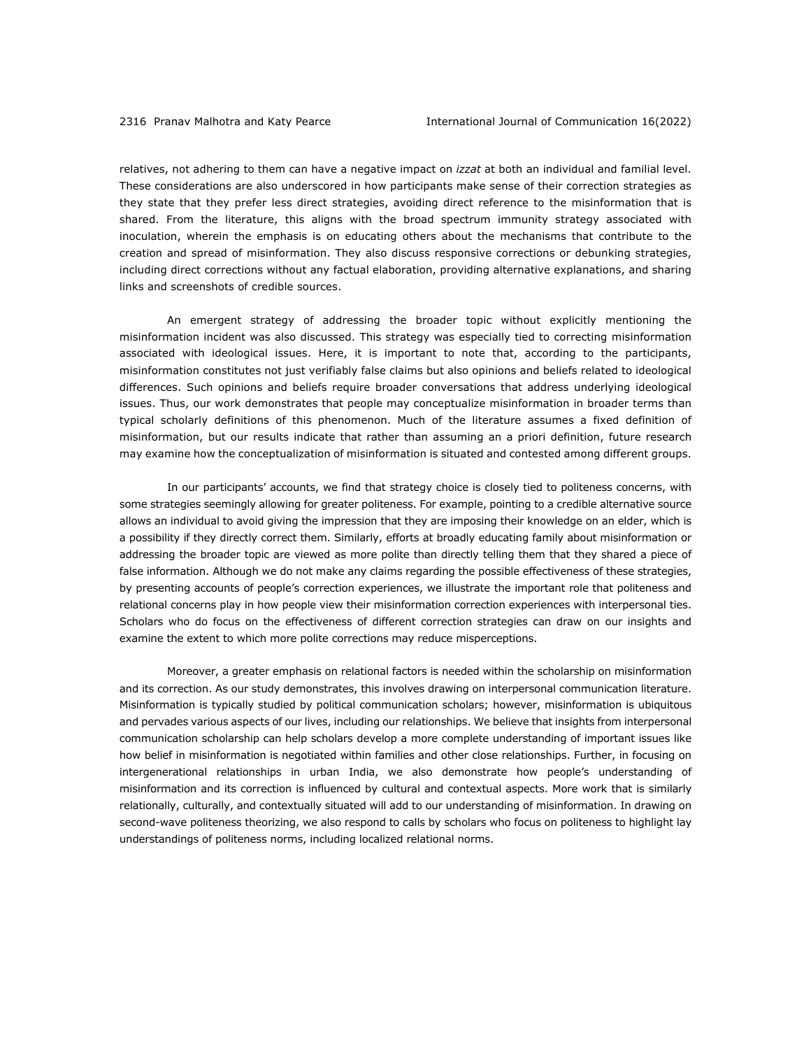relatives, not adhering to them can have a negative impact on *izzat* at both an individual and familial level. These considerations are also underscored in how participants make sense of their correction strategies as they state that they prefer less direct strategies, avoiding direct reference to the misinformation that is shared. From the literature, this aligns with the broad spectrum immunity strategy associated with inoculation, wherein the emphasis is on educating others about the mechanisms that contribute to the creation and spread of misinformation. They also discuss responsive corrections or debunking strategies, including direct corrections without any factual elaboration, providing alternative explanations, and sharing links and screenshots of credible sources.

An emergent strategy of addressing the broader topic without explicitly mentioning the misinformation incident was also discussed. This strategy was especially tied to correcting misinformation associated with ideological issues. Here, it is important to note that, according to the participants, misinformation constitutes not just verifiably false claims but also opinions and beliefs related to ideological differences. Such opinions and beliefs require broader conversations that address underlying ideological issues. Thus, our work demonstrates that people may conceptualize misinformation in broader terms than typical scholarly definitions of this phenomenon. Much of the literature assumes a fixed definition of misinformation, but our results indicate that rather than assuming an a priori definition, future research may examine how the conceptualization of misinformation is situated and contested among different groups.

In our participants' accounts, we find that strategy choice is closely tied to politeness concerns, with some strategies seemingly allowing for greater politeness. For example, pointing to a credible alternative source allows an individual to avoid giving the impression that they are imposing their knowledge on an elder, which is a possibility if they directly correct them. Similarly, efforts at broadly educating family about misinformation or addressing the broader topic are viewed as more polite than directly telling them that they shared a piece of false information. Although we do not make any claims regarding the possible effectiveness of these strategies, by presenting accounts of people's correction experiences, we illustrate the important role that politeness and relational concerns play in how people view their misinformation correction experiences with interpersonal ties. Scholars who do focus on the effectiveness of different correction strategies can draw on our insights and examine the extent to which more polite corrections may reduce misperceptions.

Moreover, a greater emphasis on relational factors is needed within the scholarship on misinformation and its correction. As our study demonstrates, this involves drawing on interpersonal communication literature. Misinformation is typically studied by political communication scholars; however, misinformation is ubiquitous and pervades various aspects of our lives, including our relationships. We believe that insights from interpersonal communication scholarship can help scholars develop a more complete understanding of important issues like how belief in misinformation is negotiated within families and other close relationships. Further, in focusing on intergenerational relationships in urban India, we also demonstrate how people's understanding of misinformation and its correction is influenced by cultural and contextual aspects. More work that is similarly relationally, culturally, and contextually situated will add to our understanding of misinformation. In drawing on second-wave politeness theorizing, we also respond to calls by scholars who focus on politeness to highlight lay understandings of politeness norms, including localized relational norms.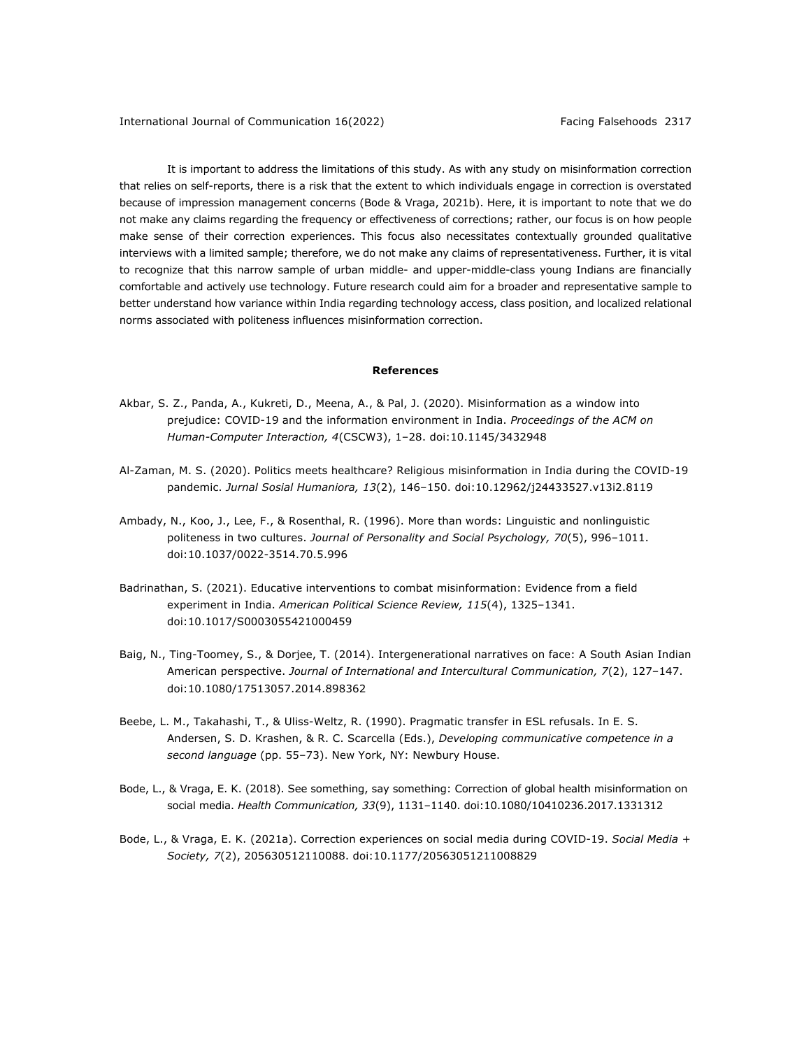It is important to address the limitations of this study. As with any study on misinformation correction that relies on self-reports, there is a risk that the extent to which individuals engage in correction is overstated because of impression management concerns (Bode & Vraga, 2021b). Here, it is important to note that we do not make any claims regarding the frequency or effectiveness of corrections; rather, our focus is on how people make sense of their correction experiences. This focus also necessitates contextually grounded qualitative interviews with a limited sample; therefore, we do not make any claims of representativeness. Further, it is vital to recognize that this narrow sample of urban middle- and upper-middle-class young Indians are financially comfortable and actively use technology. Future research could aim for a broader and representative sample to better understand how variance within India regarding technology access, class position, and localized relational norms associated with politeness influences misinformation correction.

## **References**

- Akbar, S. Z., Panda, A., Kukreti, D., Meena, A., & Pal, J. (2020). Misinformation as a window into prejudice: COVID-19 and the information environment in India. *Proceedings of the ACM on Human-Computer Interaction, 4*(CSCW3), 1–28. doi:10.1145/3432948
- Al-Zaman, M. S. (2020). Politics meets healthcare? Religious misinformation in India during the COVID-19 pandemic. *Jurnal Sosial Humaniora, 13*(2), 146–150. doi:10.12962/j24433527.v13i2.8119
- Ambady, N., Koo, J., Lee, F., & Rosenthal, R. (1996). More than words: Linguistic and nonlinguistic politeness in two cultures. *Journal of Personality and Social Psychology, 70*(5), 996–1011. doi:10.1037/0022-3514.70.5.996
- Badrinathan, S. (2021). Educative interventions to combat misinformation: Evidence from a field experiment in India. *American Political Science Review, 115*(4), 1325–1341. doi:10.1017/S0003055421000459
- Baig, N., Ting-Toomey, S., & Dorjee, T. (2014). Intergenerational narratives on face: A South Asian Indian American perspective. *Journal of International and Intercultural Communication, 7*(2), 127–147. doi:10.1080/17513057.2014.898362
- Beebe, L. M., Takahashi, T., & Uliss-Weltz, R. (1990). Pragmatic transfer in ESL refusals. In E. S. Andersen, S. D. Krashen, & R. C. Scarcella (Eds.), *Developing communicative competence in a second language* (pp. 55–73). New York, NY: Newbury House.
- Bode, L., & Vraga, E. K. (2018). See something, say something: Correction of global health misinformation on social media. *Health Communication, 33*(9), 1131–1140. doi:10.1080/10410236.2017.1331312
- Bode, L., & Vraga, E. K. (2021a). Correction experiences on social media during COVID-19. *Social Media + Society, 7*(2), 205630512110088. doi:10.1177/20563051211008829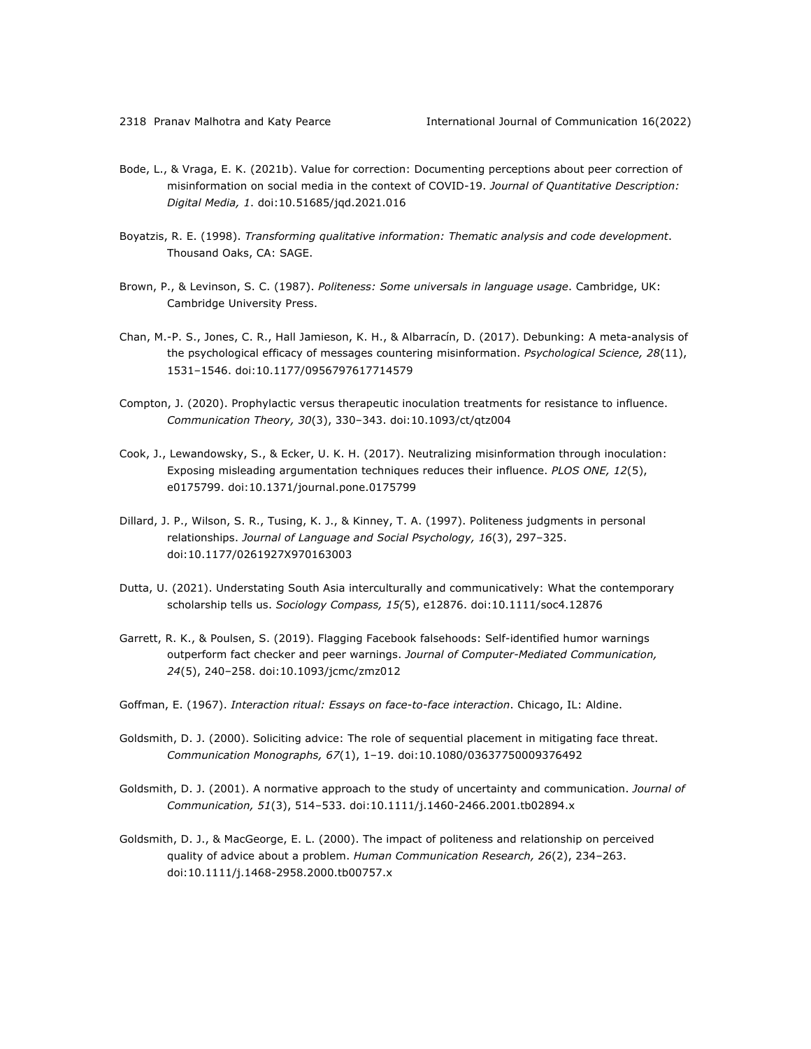- Bode, L., & Vraga, E. K. (2021b). Value for correction: Documenting perceptions about peer correction of misinformation on social media in the context of COVID-19. *Journal of Quantitative Description: Digital Media, 1*. doi:10.51685/jqd.2021.016
- Boyatzis, R. E. (1998). *Transforming qualitative information: Thematic analysis and code development*. Thousand Oaks, CA: SAGE.
- Brown, P., & Levinson, S. C. (1987). *Politeness: Some universals in language usage*. Cambridge, UK: Cambridge University Press.
- Chan, M.-P. S., Jones, C. R., Hall Jamieson, K. H., & Albarracín, D. (2017). Debunking: A meta-analysis of the psychological efficacy of messages countering misinformation. *Psychological Science, 28*(11), 1531–1546. doi:10.1177/0956797617714579
- Compton, J. (2020). Prophylactic versus therapeutic inoculation treatments for resistance to influence. *Communication Theory, 30*(3), 330–343. doi:10.1093/ct/qtz004
- Cook, J., Lewandowsky, S., & Ecker, U. K. H. (2017). Neutralizing misinformation through inoculation: Exposing misleading argumentation techniques reduces their influence. *PLOS ONE, 12*(5), e0175799. doi:10.1371/journal.pone.0175799
- Dillard, J. P., Wilson, S. R., Tusing, K. J., & Kinney, T. A. (1997). Politeness judgments in personal relationships. *Journal of Language and Social Psychology, 16*(3), 297–325. doi:10.1177/0261927X970163003
- Dutta, U. (2021). Understating South Asia interculturally and communicatively: What the contemporary scholarship tells us. *Sociology Compass, 15(*5), e12876. doi:10.1111/soc4.12876
- Garrett, R. K., & Poulsen, S. (2019). Flagging Facebook falsehoods: Self-identified humor warnings outperform fact checker and peer warnings. *Journal of Computer-Mediated Communication, 24*(5), 240–258. doi:10.1093/jcmc/zmz012
- Goffman, E. (1967). *Interaction ritual: Essays on face-to-face interaction*. Chicago, IL: Aldine.
- Goldsmith, D. J. (2000). Soliciting advice: The role of sequential placement in mitigating face threat. *Communication Monographs, 67*(1), 1–19. doi:10.1080/03637750009376492
- Goldsmith, D. J. (2001). A normative approach to the study of uncertainty and communication. *Journal of Communication, 51*(3), 514–533. doi:10.1111/j.1460-2466.2001.tb02894.x
- Goldsmith, D. J., & MacGeorge, E. L. (2000). The impact of politeness and relationship on perceived quality of advice about a problem. *Human Communication Research, 26*(2), 234–263. doi:10.1111/j.1468-2958.2000.tb00757.x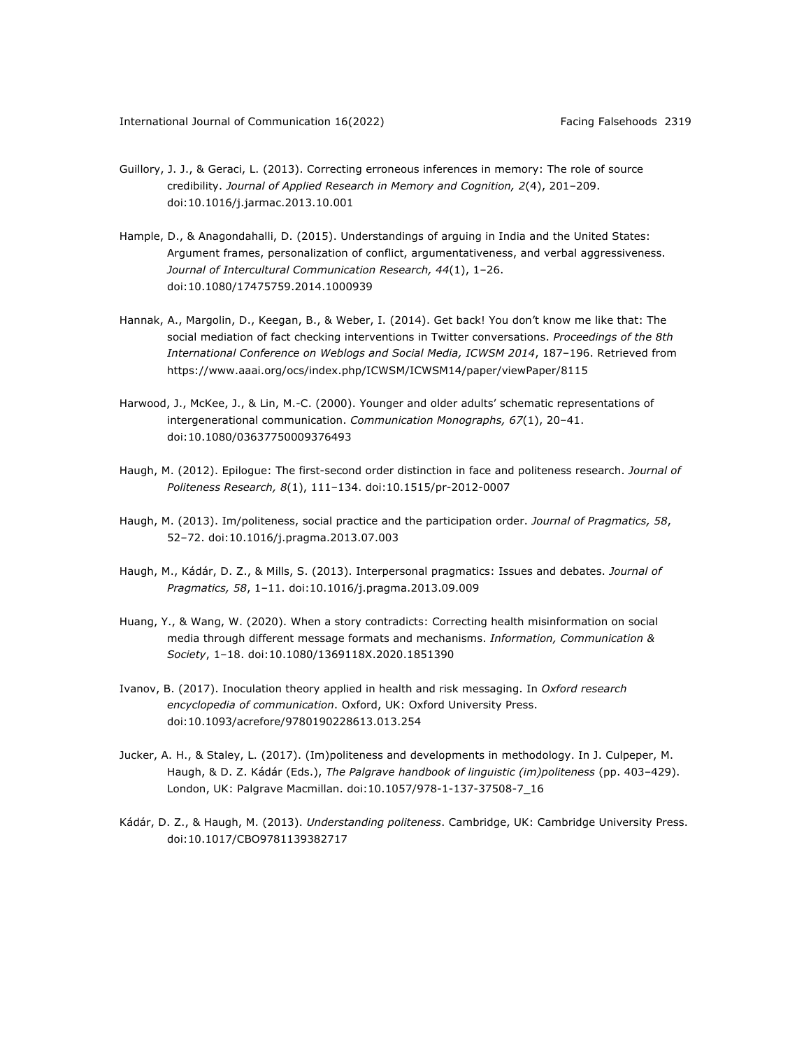- Guillory, J. J., & Geraci, L. (2013). Correcting erroneous inferences in memory: The role of source credibility. *Journal of Applied Research in Memory and Cognition, 2*(4), 201–209. doi:10.1016/j.jarmac.2013.10.001
- Hample, D., & Anagondahalli, D. (2015). Understandings of arguing in India and the United States: Argument frames, personalization of conflict, argumentativeness, and verbal aggressiveness. *Journal of Intercultural Communication Research, 44*(1), 1–26. doi:10.1080/17475759.2014.1000939
- Hannak, A., Margolin, D., Keegan, B., & Weber, I. (2014). Get back! You don't know me like that: The social mediation of fact checking interventions in Twitter conversations. *Proceedings of the 8th International Conference on Weblogs and Social Media, ICWSM 2014*, 187–196. Retrieved from https://www.aaai.org/ocs/index.php/ICWSM/ICWSM14/paper/viewPaper/8115
- Harwood, J., McKee, J., & Lin, M.-C. (2000). Younger and older adults' schematic representations of intergenerational communication. *Communication Monographs, 67*(1), 20–41. doi:10.1080/03637750009376493
- Haugh, M. (2012). Epilogue: The first-second order distinction in face and politeness research. *Journal of Politeness Research, 8*(1), 111–134. doi:10.1515/pr-2012-0007
- Haugh, M. (2013). Im/politeness, social practice and the participation order. *Journal of Pragmatics, 58*, 52–72. doi:10.1016/j.pragma.2013.07.003
- Haugh, M., Kádár, D. Z., & Mills, S. (2013). Interpersonal pragmatics: Issues and debates. *Journal of Pragmatics, 58*, 1–11. doi:10.1016/j.pragma.2013.09.009
- Huang, Y., & Wang, W. (2020). When a story contradicts: Correcting health misinformation on social media through different message formats and mechanisms. *Information, Communication & Society*, 1–18. doi:10.1080/1369118X.2020.1851390
- Ivanov, B. (2017). Inoculation theory applied in health and risk messaging. In *Oxford research encyclopedia of communication*. Oxford, UK: Oxford University Press. doi:10.1093/acrefore/9780190228613.013.254
- Jucker, A. H., & Staley, L. (2017). (Im)politeness and developments in methodology. In J. Culpeper, M. Haugh, & D. Z. Kádár (Eds.), *The Palgrave handbook of linguistic (im)politeness* (pp. 403–429). London, UK: Palgrave Macmillan. doi:10.1057/978-1-137-37508-7\_16
- Kádár, D. Z., & Haugh, M. (2013). *Understanding politeness*. Cambridge, UK: Cambridge University Press. doi:10.1017/CBO9781139382717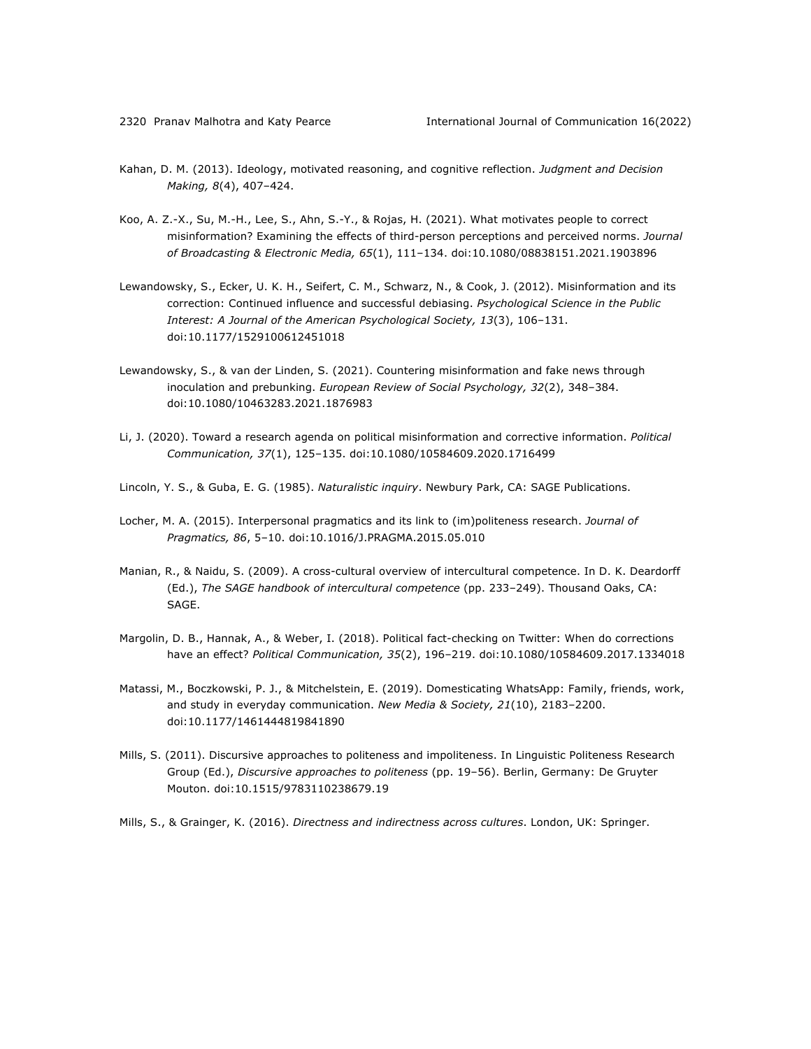- Kahan, D. M. (2013). Ideology, motivated reasoning, and cognitive reflection. *Judgment and Decision Making, 8*(4), 407–424.
- Koo, A. Z.-X., Su, M.-H., Lee, S., Ahn, S.-Y., & Rojas, H. (2021). What motivates people to correct misinformation? Examining the effects of third-person perceptions and perceived norms. *Journal of Broadcasting & Electronic Media, 65*(1), 111–134. doi:10.1080/08838151.2021.1903896
- Lewandowsky, S., Ecker, U. K. H., Seifert, C. M., Schwarz, N., & Cook, J. (2012). Misinformation and its correction: Continued influence and successful debiasing. *Psychological Science in the Public Interest: A Journal of the American Psychological Society, 13*(3), 106–131. doi:10.1177/1529100612451018
- Lewandowsky, S., & van der Linden, S. (2021). Countering misinformation and fake news through inoculation and prebunking. *European Review of Social Psychology, 32*(2), 348–384. doi:10.1080/10463283.2021.1876983
- Li, J. (2020). Toward a research agenda on political misinformation and corrective information. *Political Communication, 37*(1), 125–135. doi:10.1080/10584609.2020.1716499
- Lincoln, Y. S., & Guba, E. G. (1985). *Naturalistic inquiry*. Newbury Park, CA: SAGE Publications.
- Locher, M. A. (2015). Interpersonal pragmatics and its link to (im)politeness research. *Journal of Pragmatics, 86*, 5–10. doi:10.1016/J.PRAGMA.2015.05.010
- Manian, R., & Naidu, S. (2009). A cross-cultural overview of intercultural competence. In D. K. Deardorff (Ed.), *The SAGE handbook of intercultural competence* (pp. 233–249). Thousand Oaks, CA: SAGE.
- Margolin, D. B., Hannak, A., & Weber, I. (2018). Political fact-checking on Twitter: When do corrections have an effect? *Political Communication, 35*(2), 196–219. doi:10.1080/10584609.2017.1334018
- Matassi, M., Boczkowski, P. J., & Mitchelstein, E. (2019). Domesticating WhatsApp: Family, friends, work, and study in everyday communication. *New Media & Society, 21*(10), 2183–2200. doi:10.1177/1461444819841890
- Mills, S. (2011). Discursive approaches to politeness and impoliteness. In Linguistic Politeness Research Group (Ed.), *Discursive approaches to politeness* (pp. 19–56). Berlin, Germany: De Gruyter Mouton. doi:10.1515/9783110238679.19
- Mills, S., & Grainger, K. (2016). *Directness and indirectness across cultures*. London, UK: Springer.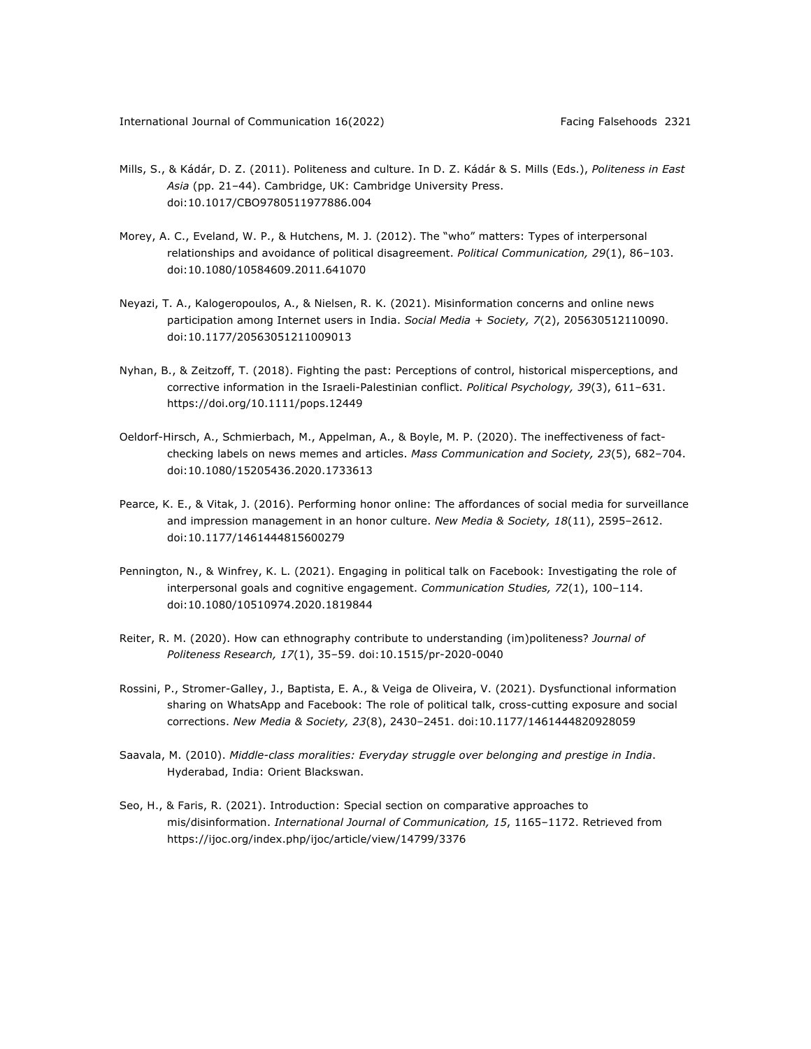- Mills, S., & Kádár, D. Z. (2011). Politeness and culture. In D. Z. Kádár & S. Mills (Eds.), *Politeness in East Asia* (pp. 21–44). Cambridge, UK: Cambridge University Press. doi:10.1017/CBO9780511977886.004
- Morey, A. C., Eveland, W. P., & Hutchens, M. J. (2012). The "who" matters: Types of interpersonal relationships and avoidance of political disagreement. *Political Communication, 29*(1), 86–103. doi:10.1080/10584609.2011.641070
- Neyazi, T. A., Kalogeropoulos, A., & Nielsen, R. K. (2021). Misinformation concerns and online news participation among Internet users in India. *Social Media + Society, 7*(2), 205630512110090. doi:10.1177/20563051211009013
- Nyhan, B., & Zeitzoff, T. (2018). Fighting the past: Perceptions of control, historical misperceptions, and corrective information in the Israeli-Palestinian conflict. *Political Psychology, 39*(3), 611–631. https://doi.org/10.1111/pops.12449
- Oeldorf-Hirsch, A., Schmierbach, M., Appelman, A., & Boyle, M. P. (2020). The ineffectiveness of factchecking labels on news memes and articles. *Mass Communication and Society, 23*(5), 682–704. doi:10.1080/15205436.2020.1733613
- Pearce, K. E., & Vitak, J. (2016). Performing honor online: The affordances of social media for surveillance and impression management in an honor culture. *New Media & Society, 18*(11), 2595–2612. doi:10.1177/1461444815600279
- Pennington, N., & Winfrey, K. L. (2021). Engaging in political talk on Facebook: Investigating the role of interpersonal goals and cognitive engagement. *Communication Studies, 72*(1), 100–114. doi:10.1080/10510974.2020.1819844
- Reiter, R. M. (2020). How can ethnography contribute to understanding (im)politeness? *Journal of Politeness Research, 17*(1), 35–59. doi:10.1515/pr-2020-0040
- Rossini, P., Stromer-Galley, J., Baptista, E. A., & Veiga de Oliveira, V. (2021). Dysfunctional information sharing on WhatsApp and Facebook: The role of political talk, cross-cutting exposure and social corrections. *New Media & Society, 23*(8), 2430–2451. doi:10.1177/1461444820928059
- Saavala, M. (2010). *Middle-class moralities: Everyday struggle over belonging and prestige in India*. Hyderabad, India: Orient Blackswan.
- Seo, H., & Faris, R. (2021). Introduction: Special section on comparative approaches to mis/disinformation. *International Journal of Communication, 15*, 1165–1172. Retrieved from https://ijoc.org/index.php/ijoc/article/view/14799/3376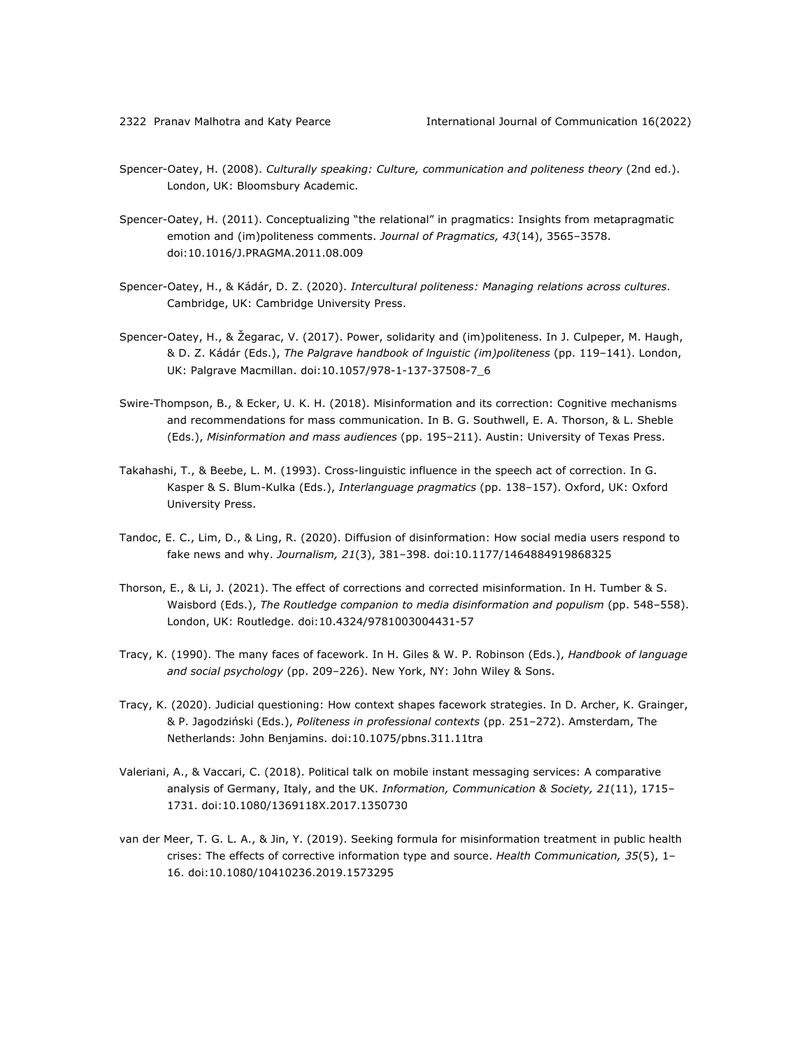- Spencer-Oatey, H. (2008). *Culturally speaking: Culture, communication and politeness theory* (2nd ed.). London, UK: Bloomsbury Academic.
- Spencer-Oatey, H. (2011). Conceptualizing "the relational" in pragmatics: Insights from metapragmatic emotion and (im)politeness comments. *Journal of Pragmatics, 43*(14), 3565–3578. doi:10.1016/J.PRAGMA.2011.08.009
- Spencer-Oatey, H., & Kádár, D. Z. (2020). *Intercultural politeness: Managing relations across cultures*. Cambridge, UK: Cambridge University Press.
- Spencer-Oatey, H., & Žegarac, V. (2017). Power, solidarity and (im)politeness. In J. Culpeper, M. Haugh, & D. Z. Kádár (Eds.), *The Palgrave handbook of lnguistic (im)politeness* (pp. 119–141). London, UK: Palgrave Macmillan. doi:10.1057/978-1-137-37508-7\_6
- Swire-Thompson, B., & Ecker, U. K. H. (2018). Misinformation and its correction: Cognitive mechanisms and recommendations for mass communication. In B. G. Southwell, E. A. Thorson, & L. Sheble (Eds.), *Misinformation and mass audiences* (pp. 195–211). Austin: University of Texas Press.
- Takahashi, T., & Beebe, L. M. (1993). Cross-linguistic influence in the speech act of correction. In G. Kasper & S. Blum-Kulka (Eds.), *Interlanguage pragmatics* (pp. 138–157). Oxford, UK: Oxford University Press.
- Tandoc, E. C., Lim, D., & Ling, R. (2020). Diffusion of disinformation: How social media users respond to fake news and why. *Journalism, 21*(3), 381–398. doi:10.1177/1464884919868325
- Thorson, E., & Li, J. (2021). The effect of corrections and corrected misinformation. In H. Tumber & S. Waisbord (Eds.), *The Routledge companion to media disinformation and populism* (pp. 548–558). London, UK: Routledge. doi:10.4324/9781003004431-57
- Tracy, K. (1990). The many faces of facework. In H. Giles & W. P. Robinson (Eds.), *Handbook of language and social psychology* (pp. 209–226). New York, NY: John Wiley & Sons.
- Tracy, K. (2020). Judicial questioning: How context shapes facework strategies. In D. Archer, K. Grainger, & P. Jagodziński (Eds.), *Politeness in professional contexts* (pp. 251–272). Amsterdam, The Netherlands: John Benjamins. doi:10.1075/pbns.311.11tra
- Valeriani, A., & Vaccari, C. (2018). Political talk on mobile instant messaging services: A comparative analysis of Germany, Italy, and the UK. *Information, Communication & Society, 21*(11), 1715– 1731. doi:10.1080/1369118X.2017.1350730
- van der Meer, T. G. L. A., & Jin, Y. (2019). Seeking formula for misinformation treatment in public health crises: The effects of corrective information type and source. *Health Communication, 35*(5), 1– 16. doi:10.1080/10410236.2019.1573295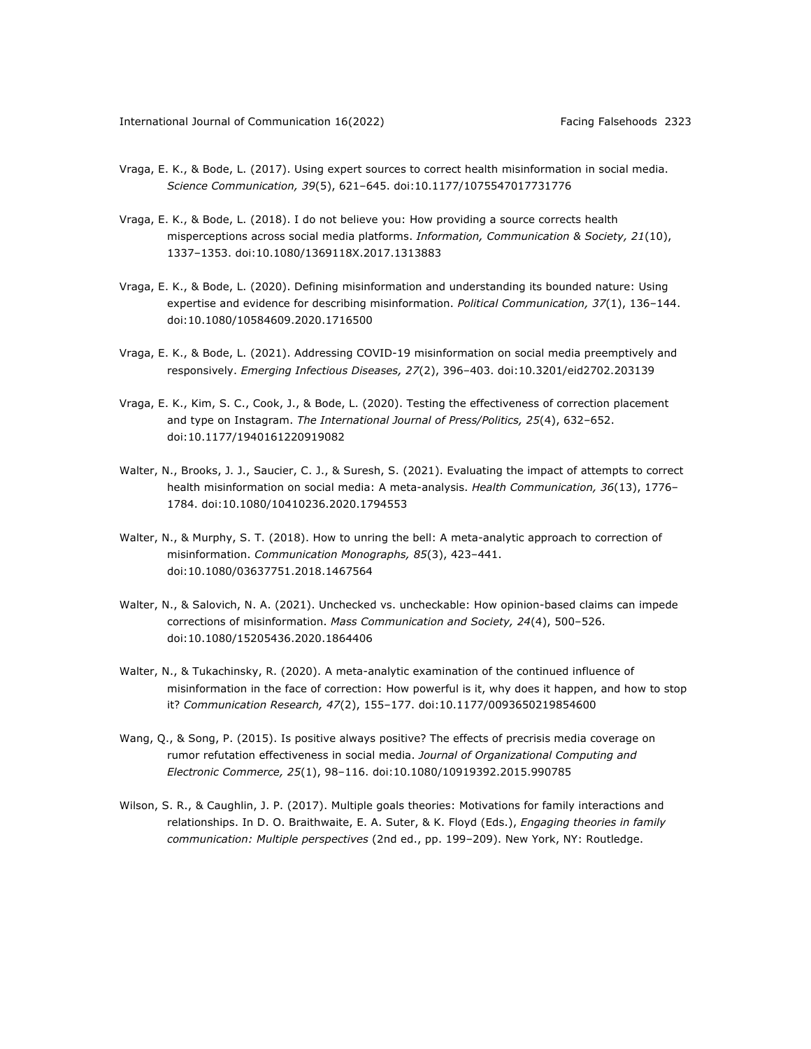- Vraga, E. K., & Bode, L. (2017). Using expert sources to correct health misinformation in social media. *Science Communication, 39*(5), 621–645. doi:10.1177/1075547017731776
- Vraga, E. K., & Bode, L. (2018). I do not believe you: How providing a source corrects health misperceptions across social media platforms. *Information, Communication & Society, 21*(10), 1337–1353. doi:10.1080/1369118X.2017.1313883
- Vraga, E. K., & Bode, L. (2020). Defining misinformation and understanding its bounded nature: Using expertise and evidence for describing misinformation. *Political Communication, 37*(1), 136–144. doi:10.1080/10584609.2020.1716500
- Vraga, E. K., & Bode, L. (2021). Addressing COVID-19 misinformation on social media preemptively and responsively. *Emerging Infectious Diseases, 27*(2), 396–403. doi:10.3201/eid2702.203139
- Vraga, E. K., Kim, S. C., Cook, J., & Bode, L. (2020). Testing the effectiveness of correction placement and type on Instagram. *The International Journal of Press/Politics, 25*(4), 632–652. doi:10.1177/1940161220919082
- Walter, N., Brooks, J. J., Saucier, C. J., & Suresh, S. (2021). Evaluating the impact of attempts to correct health misinformation on social media: A meta-analysis. *Health Communication, 36*(13), 1776– 1784. doi:10.1080/10410236.2020.1794553
- Walter, N., & Murphy, S. T. (2018). How to unring the bell: A meta-analytic approach to correction of misinformation. *Communication Monographs, 85*(3), 423–441. doi:10.1080/03637751.2018.1467564
- Walter, N., & Salovich, N. A. (2021). Unchecked vs. uncheckable: How opinion-based claims can impede corrections of misinformation. *Mass Communication and Society, 24*(4), 500–526. doi:10.1080/15205436.2020.1864406
- Walter, N., & Tukachinsky, R. (2020). A meta-analytic examination of the continued influence of misinformation in the face of correction: How powerful is it, why does it happen, and how to stop it? *Communication Research, 47*(2), 155–177. doi:10.1177/0093650219854600
- Wang, Q., & Song, P. (2015). Is positive always positive? The effects of precrisis media coverage on rumor refutation effectiveness in social media. *Journal of Organizational Computing and Electronic Commerce, 25*(1), 98–116. doi:10.1080/10919392.2015.990785
- Wilson, S. R., & Caughlin, J. P. (2017). Multiple goals theories: Motivations for family interactions and relationships. In D. O. Braithwaite, E. A. Suter, & K. Floyd (Eds.), *Engaging theories in family communication: Multiple perspectives* (2nd ed., pp. 199–209). New York, NY: Routledge.